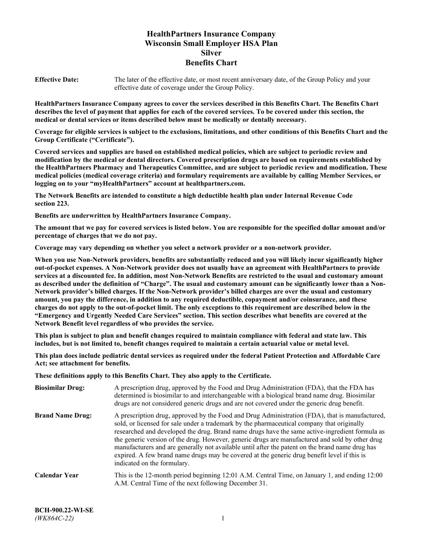# **HealthPartners Insurance Company Wisconsin Small Employer HSA Plan Silver Benefits Chart**

**Effective Date:** The later of the effective date, or most recent anniversary date, of the Group Policy and your effective date of coverage under the Group Policy.

**HealthPartners Insurance Company agrees to cover the services described in this Benefits Chart. The Benefits Chart describes the level of payment that applies for each of the covered services. To be covered under this section, the medical or dental services or items described below must be medically or dentally necessary.**

**Coverage for eligible services is subject to the exclusions, limitations, and other conditions of this Benefits Chart and the Group Certificate ("Certificate").**

**Covered services and supplies are based on established medical policies, which are subject to periodic review and modification by the medical or dental directors. Covered prescription drugs are based on requirements established by the HealthPartners Pharmacy and Therapeutics Committee, and are subject to periodic review and modification. These medical policies (medical coverage criteria) and formulary requirements are available by calling Member Services, or logging on to your "myHealthPartners" account at [healthpartners.com.](https://www.healthpartners.com/hp/index.html)**

**The Network Benefits are intended to constitute a high deductible health plan under Internal Revenue Code section 223.**

**Benefits are underwritten by HealthPartners Insurance Company.**

**The amount that we pay for covered services is listed below. You are responsible for the specified dollar amount and/or percentage of charges that we do not pay.**

**Coverage may vary depending on whether you select a network provider or a non-network provider.**

**When you use Non-Network providers, benefits are substantially reduced and you will likely incur significantly higher out-of-pocket expenses. A Non-Network provider does not usually have an agreement with HealthPartners to provide services at a discounted fee. In addition, most Non-Network Benefits are restricted to the usual and customary amount as described under the definition of "Charge". The usual and customary amount can be significantly lower than a Non-Network provider's billed charges. If the Non-Network provider's billed charges are over the usual and customary amount, you pay the difference, in addition to any required deductible, copayment and/or coinsurance, and these charges do not apply to the out-of-pocket limit. The only exceptions to this requirement are described below in the "Emergency and Urgently Needed Care Services" section. This section describes what benefits are covered at the Network Benefit level regardless of who provides the service.**

**This plan is subject to plan and benefit changes required to maintain compliance with federal and state law. This includes, but is not limited to, benefit changes required to maintain a certain actuarial value or metal level.**

**This plan does include pediatric dental services as required under the federal Patient Protection and Affordable Care Act; see attachment for benefits.**

**These definitions apply to this Benefits Chart. They also apply to the Certificate.**

| <b>Biosimilar Drug:</b> | A prescription drug, approved by the Food and Drug Administration (FDA), that the FDA has<br>determined is biosimilar to and interchangeable with a biological brand name drug. Biosimilar<br>drugs are not considered generic drugs and are not covered under the generic drug benefit.                                                                                                                                                                                                                                                                                                                                           |
|-------------------------|------------------------------------------------------------------------------------------------------------------------------------------------------------------------------------------------------------------------------------------------------------------------------------------------------------------------------------------------------------------------------------------------------------------------------------------------------------------------------------------------------------------------------------------------------------------------------------------------------------------------------------|
| <b>Brand Name Drug:</b> | A prescription drug, approved by the Food and Drug Administration (FDA), that is manufactured,<br>sold, or licensed for sale under a trademark by the pharmaceutical company that originally<br>researched and developed the drug. Brand name drugs have the same active-ingredient formula as<br>the generic version of the drug. However, generic drugs are manufactured and sold by other drug<br>manufacturers and are generally not available until after the patent on the brand name drug has<br>expired. A few brand name drugs may be covered at the generic drug benefit level if this is<br>indicated on the formulary. |
| <b>Calendar Year</b>    | This is the 12-month period beginning 12:01 A.M. Central Time, on January 1, and ending 12:00<br>A.M. Central Time of the next following December 31.                                                                                                                                                                                                                                                                                                                                                                                                                                                                              |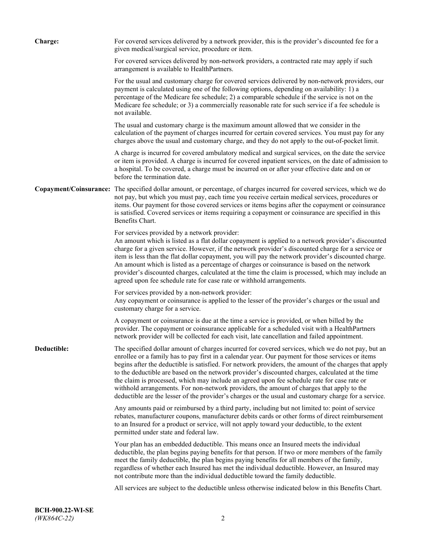| <b>Charge:</b> | For covered services delivered by a network provider, this is the provider's discounted fee for a<br>given medical/surgical service, procedure or item.                                                                                                                                                                                                                                                                                                                                                                                                                                                                                                                                                                 |
|----------------|-------------------------------------------------------------------------------------------------------------------------------------------------------------------------------------------------------------------------------------------------------------------------------------------------------------------------------------------------------------------------------------------------------------------------------------------------------------------------------------------------------------------------------------------------------------------------------------------------------------------------------------------------------------------------------------------------------------------------|
|                | For covered services delivered by non-network providers, a contracted rate may apply if such<br>arrangement is available to HealthPartners.                                                                                                                                                                                                                                                                                                                                                                                                                                                                                                                                                                             |
|                | For the usual and customary charge for covered services delivered by non-network providers, our<br>payment is calculated using one of the following options, depending on availability: 1) a<br>percentage of the Medicare fee schedule; 2) a comparable schedule if the service is not on the<br>Medicare fee schedule; or 3) a commercially reasonable rate for such service if a fee schedule is<br>not available.                                                                                                                                                                                                                                                                                                   |
|                | The usual and customary charge is the maximum amount allowed that we consider in the<br>calculation of the payment of charges incurred for certain covered services. You must pay for any<br>charges above the usual and customary charge, and they do not apply to the out-of-pocket limit.                                                                                                                                                                                                                                                                                                                                                                                                                            |
|                | A charge is incurred for covered ambulatory medical and surgical services, on the date the service<br>or item is provided. A charge is incurred for covered inpatient services, on the date of admission to<br>a hospital. To be covered, a charge must be incurred on or after your effective date and on or<br>before the termination date.                                                                                                                                                                                                                                                                                                                                                                           |
|                | Copayment/Coinsurance: The specified dollar amount, or percentage, of charges incurred for covered services, which we do<br>not pay, but which you must pay, each time you receive certain medical services, procedures or<br>items. Our payment for those covered services or items begins after the copayment or coinsurance<br>is satisfied. Covered services or items requiring a copayment or coinsurance are specified in this<br>Benefits Chart.                                                                                                                                                                                                                                                                 |
|                | For services provided by a network provider:<br>An amount which is listed as a flat dollar copayment is applied to a network provider's discounted<br>charge for a given service. However, if the network provider's discounted charge for a service or<br>item is less than the flat dollar copayment, you will pay the network provider's discounted charge.<br>An amount which is listed as a percentage of charges or coinsurance is based on the network<br>provider's discounted charges, calculated at the time the claim is processed, which may include an<br>agreed upon fee schedule rate for case rate or withhold arrangements.                                                                            |
|                | For services provided by a non-network provider:<br>Any copayment or coinsurance is applied to the lesser of the provider's charges or the usual and<br>customary charge for a service.                                                                                                                                                                                                                                                                                                                                                                                                                                                                                                                                 |
|                | A copayment or coinsurance is due at the time a service is provided, or when billed by the<br>provider. The copayment or coinsurance applicable for a scheduled visit with a HealthPartners<br>network provider will be collected for each visit, late cancellation and failed appointment.                                                                                                                                                                                                                                                                                                                                                                                                                             |
| Deductible:    | The specified dollar amount of charges incurred for covered services, which we do not pay, but an<br>enrollee or a family has to pay first in a calendar year. Our payment for those services or items<br>begins after the deductible is satisfied. For network providers, the amount of the charges that apply<br>to the deductible are based on the network provider's discounted charges, calculated at the time<br>the claim is processed, which may include an agreed upon fee schedule rate for case rate or<br>withhold arrangements. For non-network providers, the amount of charges that apply to the<br>deductible are the lesser of the provider's charges or the usual and customary charge for a service. |
|                | Any amounts paid or reimbursed by a third party, including but not limited to: point of service<br>rebates, manufacturer coupons, manufacturer debits cards or other forms of direct reimbursement<br>to an Insured for a product or service, will not apply toward your deductible, to the extent<br>permitted under state and federal law.                                                                                                                                                                                                                                                                                                                                                                            |
|                | Your plan has an embedded deductible. This means once an Insured meets the individual<br>deductible, the plan begins paying benefits for that person. If two or more members of the family<br>meet the family deductible, the plan begins paying benefits for all members of the family,<br>regardless of whether each Insured has met the individual deductible. However, an Insured may<br>not contribute more than the individual deductible toward the family deductible.                                                                                                                                                                                                                                           |
|                | All services are subject to the deductible unless otherwise indicated below in this Benefits Chart.                                                                                                                                                                                                                                                                                                                                                                                                                                                                                                                                                                                                                     |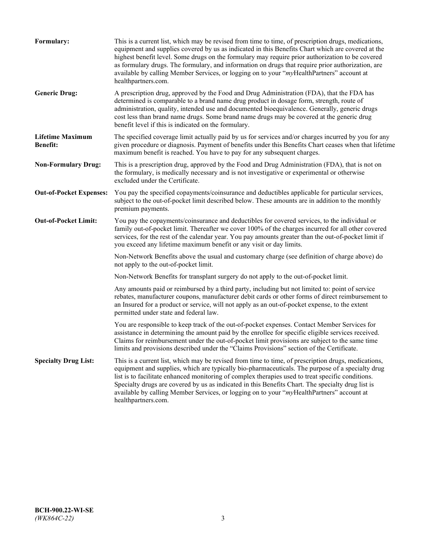| Formulary:                                 | This is a current list, which may be revised from time to time, of prescription drugs, medications,<br>equipment and supplies covered by us as indicated in this Benefits Chart which are covered at the<br>highest benefit level. Some drugs on the formulary may require prior authorization to be covered<br>as formulary drugs. The formulary, and information on drugs that require prior authorization, are<br>available by calling Member Services, or logging on to your "myHealthPartners" account at<br>healthpartners.com. |
|--------------------------------------------|---------------------------------------------------------------------------------------------------------------------------------------------------------------------------------------------------------------------------------------------------------------------------------------------------------------------------------------------------------------------------------------------------------------------------------------------------------------------------------------------------------------------------------------|
| <b>Generic Drug:</b>                       | A prescription drug, approved by the Food and Drug Administration (FDA), that the FDA has<br>determined is comparable to a brand name drug product in dosage form, strength, route of<br>administration, quality, intended use and documented bioequivalence. Generally, generic drugs<br>cost less than brand name drugs. Some brand name drugs may be covered at the generic drug<br>benefit level if this is indicated on the formulary.                                                                                           |
| <b>Lifetime Maximum</b><br><b>Benefit:</b> | The specified coverage limit actually paid by us for services and/or charges incurred by you for any<br>given procedure or diagnosis. Payment of benefits under this Benefits Chart ceases when that lifetime<br>maximum benefit is reached. You have to pay for any subsequent charges.                                                                                                                                                                                                                                              |
| <b>Non-Formulary Drug:</b>                 | This is a prescription drug, approved by the Food and Drug Administration (FDA), that is not on<br>the formulary, is medically necessary and is not investigative or experimental or otherwise<br>excluded under the Certificate.                                                                                                                                                                                                                                                                                                     |
| <b>Out-of-Pocket Expenses:</b>             | You pay the specified copayments/coinsurance and deductibles applicable for particular services,<br>subject to the out-of-pocket limit described below. These amounts are in addition to the monthly<br>premium payments.                                                                                                                                                                                                                                                                                                             |
| <b>Out-of-Pocket Limit:</b>                | You pay the copayments/coinsurance and deductibles for covered services, to the individual or<br>family out-of-pocket limit. Thereafter we cover 100% of the charges incurred for all other covered<br>services, for the rest of the calendar year. You pay amounts greater than the out-of-pocket limit if<br>you exceed any lifetime maximum benefit or any visit or day limits.                                                                                                                                                    |
|                                            | Non-Network Benefits above the usual and customary charge (see definition of charge above) do<br>not apply to the out-of-pocket limit.                                                                                                                                                                                                                                                                                                                                                                                                |
|                                            | Non-Network Benefits for transplant surgery do not apply to the out-of-pocket limit.                                                                                                                                                                                                                                                                                                                                                                                                                                                  |
|                                            | Any amounts paid or reimbursed by a third party, including but not limited to: point of service<br>rebates, manufacturer coupons, manufacturer debit cards or other forms of direct reimbursement to<br>an Insured for a product or service, will not apply as an out-of-pocket expense, to the extent<br>permitted under state and federal law.                                                                                                                                                                                      |
|                                            | You are responsible to keep track of the out-of-pocket expenses. Contact Member Services for<br>assistance in determining the amount paid by the enrollee for specific eligible services received.<br>Claims for reimbursement under the out-of-pocket limit provisions are subject to the same time<br>limits and provisions described under the "Claims Provisions" section of the Certificate.                                                                                                                                     |
| <b>Specialty Drug List:</b>                | This is a current list, which may be revised from time to time, of prescription drugs, medications,<br>equipment and supplies, which are typically bio-pharmaceuticals. The purpose of a specialty drug<br>list is to facilitate enhanced monitoring of complex therapies used to treat specific conditions.<br>Specialty drugs are covered by us as indicated in this Benefits Chart. The specialty drug list is<br>available by calling Member Services, or logging on to your "myHealthPartners" account at<br>healthpartners.com. |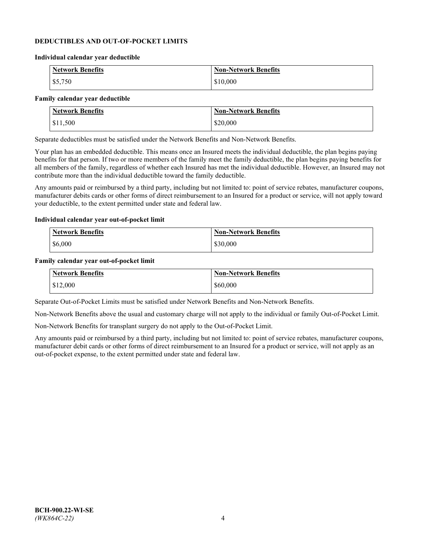### **DEDUCTIBLES AND OUT-OF-POCKET LIMITS**

#### **Individual calendar year deductible**

| <b>Network Benefits</b> | <b>Non-Network Benefits</b> |
|-------------------------|-----------------------------|
| \$5,750                 | \$10,000                    |

#### **Family calendar year deductible**

| <b>Network Benefits</b> | <b>Non-Network Benefits</b> |
|-------------------------|-----------------------------|
| \$11,500                | \$20,000                    |

Separate deductibles must be satisfied under the Network Benefits and Non-Network Benefits.

Your plan has an embedded deductible. This means once an Insured meets the individual deductible, the plan begins paying benefits for that person. If two or more members of the family meet the family deductible, the plan begins paying benefits for all members of the family, regardless of whether each Insured has met the individual deductible. However, an Insured may not contribute more than the individual deductible toward the family deductible.

Any amounts paid or reimbursed by a third party, including but not limited to: point of service rebates, manufacturer coupons, manufacturer debits cards or other forms of direct reimbursement to an Insured for a product or service, will not apply toward your deductible, to the extent permitted under state and federal law.

#### **Individual calendar year out-of-pocket limit**

| Network Benefits | <b>Non-Network Benefits</b> |
|------------------|-----------------------------|
| \$6,000          | \$30,000                    |

#### **Family calendar year out-of-pocket limit**

| <b>Network Benefits</b> | <b>Non-Network Benefits</b> |
|-------------------------|-----------------------------|
| \$12,000                | \$60,000                    |

Separate Out-of-Pocket Limits must be satisfied under Network Benefits and Non-Network Benefits.

Non-Network Benefits above the usual and customary charge will not apply to the individual or family Out-of-Pocket Limit.

Non-Network Benefits for transplant surgery do not apply to the Out-of-Pocket Limit.

Any amounts paid or reimbursed by a third party, including but not limited to: point of service rebates, manufacturer coupons, manufacturer debit cards or other forms of direct reimbursement to an Insured for a product or service, will not apply as an out-of-pocket expense, to the extent permitted under state and federal law.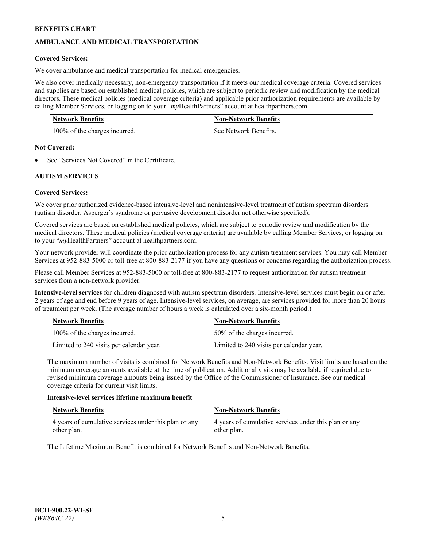# **AMBULANCE AND MEDICAL TRANSPORTATION**

# **Covered Services:**

We cover ambulance and medical transportation for medical emergencies.

We also cover medically necessary, non-emergency transportation if it meets our medical coverage criteria. Covered services and supplies are based on established medical policies, which are subject to periodic review and modification by the medical directors. These medical policies (medical coverage criteria) and applicable prior authorization requirements are available by calling Member Services, or logging on to your "*my*HealthPartners" account a[t healthpartners.com.](https://www.healthpartners.com/hp/index.html)

| <b>Network Benefits</b>       | <b>Non-Network Benefits</b> |
|-------------------------------|-----------------------------|
| 100% of the charges incurred. | See Network Benefits.       |

## **Not Covered:**

See "Services Not Covered" in the Certificate.

# **AUTISM SERVICES**

# **Covered Services:**

We cover prior authorized evidence-based intensive-level and nonintensive-level treatment of autism spectrum disorders (autism disorder, Asperger's syndrome or pervasive development disorder not otherwise specified).

Covered services are based on established medical policies, which are subject to periodic review and modification by the medical directors. These medical policies (medical coverage criteria) are available by calling Member Services, or logging on to your "*my*HealthPartners" account at [healthpartners.com.](https://www.healthpartners.com/hp/index.html)

Your network provider will coordinate the prior authorization process for any autism treatment services. You may call Member Services at 952-883-5000 or toll-free at 800-883-2177 if you have any questions or concerns regarding the authorization process.

Please call Member Services at 952-883-5000 or toll-free at 800-883-2177 to request authorization for autism treatment services from a non-network provider.

**Intensive-level services** for children diagnosed with autism spectrum disorders. Intensive-level services must begin on or after 2 years of age and end before 9 years of age. Intensive-level services, on average, are services provided for more than 20 hours of treatment per week. (The average number of hours a week is calculated over a six-month period.)

| Network Benefits                         | <b>Non-Network Benefits</b>              |
|------------------------------------------|------------------------------------------|
| 100% of the charges incurred.            | 50% of the charges incurred.             |
| Limited to 240 visits per calendar year. | Limited to 240 visits per calendar year. |

The maximum number of visits is combined for Network Benefits and Non-Network Benefits. Visit limits are based on the minimum coverage amounts available at the time of publication. Additional visits may be available if required due to revised minimum coverage amounts being issued by the Office of the Commissioner of Insurance. See our medical coverage criteria for current visit limits.

## **Intensive-level services lifetime maximum benefit**

| Network Benefits                                                     | <b>Non-Network Benefits</b>                                          |
|----------------------------------------------------------------------|----------------------------------------------------------------------|
| 4 years of cumulative services under this plan or any<br>other plan. | 4 years of cumulative services under this plan or any<br>other plan. |

The Lifetime Maximum Benefit is combined for Network Benefits and Non-Network Benefits.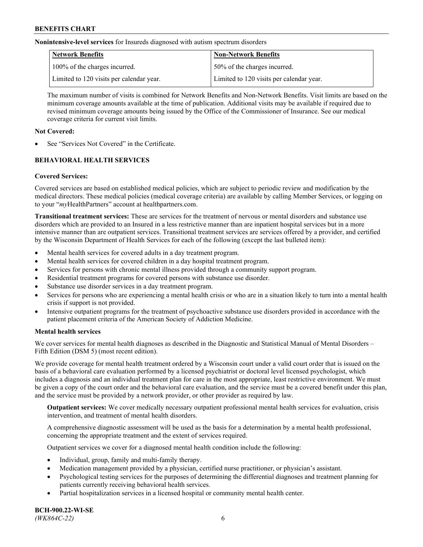**Nonintensive-level services** for Insureds diagnosed with autism spectrum disorders

| Network Benefits                         | <b>Non-Network Benefits</b>              |
|------------------------------------------|------------------------------------------|
| 100% of the charges incurred.            | 50% of the charges incurred.             |
| Limited to 120 visits per calendar year. | Limited to 120 visits per calendar year. |

The maximum number of visits is combined for Network Benefits and Non-Network Benefits. Visit limits are based on the minimum coverage amounts available at the time of publication. Additional visits may be available if required due to revised minimum coverage amounts being issued by the Office of the Commissioner of Insurance. See our medical coverage criteria for current visit limits.

# **Not Covered:**

See "Services Not Covered" in the Certificate.

# **BEHAVIORAL HEALTH SERVICES**

## **Covered Services:**

Covered services are based on established medical policies, which are subject to periodic review and modification by the medical directors. These medical policies (medical coverage criteria) are available by calling Member Services, or logging on to your "*my*HealthPartners" account at [healthpartners.com.](https://www.healthpartners.com/hp/index.html)

**Transitional treatment services:** These are services for the treatment of nervous or mental disorders and substance use disorders which are provided to an Insured in a less restrictive manner than are inpatient hospital services but in a more intensive manner than are outpatient services. Transitional treatment services are services offered by a provider, and certified by the Wisconsin Department of Health Services for each of the following (except the last bulleted item):

- Mental health services for covered adults in a day treatment program.
- Mental health services for covered children in a day hospital treatment program.
- Services for persons with chronic mental illness provided through a community support program.
- Residential treatment programs for covered persons with substance use disorder.
- Substance use disorder services in a day treatment program.
- Services for persons who are experiencing a mental health crisis or who are in a situation likely to turn into a mental health crisis if support is not provided.
- Intensive outpatient programs for the treatment of psychoactive substance use disorders provided in accordance with the patient placement criteria of the American Society of Addiction Medicine.

## **Mental health services**

We cover services for mental health diagnoses as described in the Diagnostic and Statistical Manual of Mental Disorders – Fifth Edition (DSM 5) (most recent edition).

We provide coverage for mental health treatment ordered by a Wisconsin court under a valid court order that is issued on the basis of a behavioral care evaluation performed by a licensed psychiatrist or doctoral level licensed psychologist, which includes a diagnosis and an individual treatment plan for care in the most appropriate, least restrictive environment. We must be given a copy of the court order and the behavioral care evaluation, and the service must be a covered benefit under this plan, and the service must be provided by a network provider, or other provider as required by law.

**Outpatient services:** We cover medically necessary outpatient professional mental health services for evaluation, crisis intervention, and treatment of mental health disorders.

A comprehensive diagnostic assessment will be used as the basis for a determination by a mental health professional, concerning the appropriate treatment and the extent of services required.

Outpatient services we cover for a diagnosed mental health condition include the following:

- Individual, group, family and multi-family therapy.
- Medication management provided by a physician, certified nurse practitioner, or physician's assistant.
- Psychological testing services for the purposes of determining the differential diagnoses and treatment planning for patients currently receiving behavioral health services.
- Partial hospitalization services in a licensed hospital or community mental health center.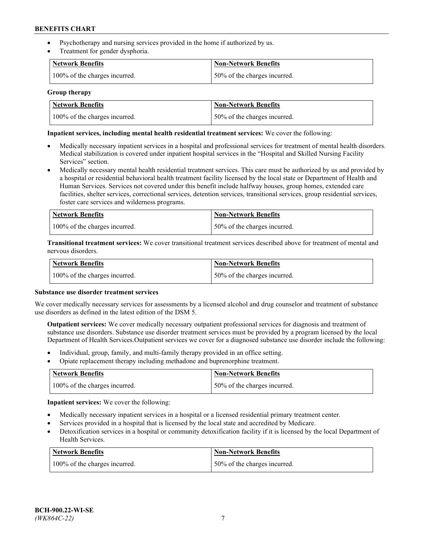- Psychotherapy and nursing services provided in the home if authorized by us.
- Treatment for gender dysphoria.

| <b>Network Benefits</b>       | <b>Non-Network Benefits</b>  |
|-------------------------------|------------------------------|
| 100% of the charges incurred. | 50% of the charges incurred. |

#### **Group therapy**

| Network Benefits              | Non-Network Benefits          |
|-------------------------------|-------------------------------|
| 100% of the charges incurred. | 150% of the charges incurred. |

### **Inpatient services, including mental health residential treatment services:** We cover the following:

- Medically necessary inpatient services in a hospital and professional services for treatment of mental health disorders. Medical stabilization is covered under inpatient hospital services in the "Hospital and Skilled Nursing Facility Services" section.
- Medically necessary mental health residential treatment services. This care must be authorized by us and provided by a hospital or residential behavioral health treatment facility licensed by the local state or Department of Health and Human Services. Services not covered under this benefit include halfway houses, group homes, extended care facilities, shelter services, correctional services, detention services, transitional services, group residential services, foster care services and wilderness programs.

| <b>Network Benefits</b>       | Non-Network Benefits         |
|-------------------------------|------------------------------|
| 100% of the charges incurred. | 50% of the charges incurred. |

**Transitional treatment services:** We cover transitional treatment services described above for treatment of mental and nervous disorders.

| <b>Network Benefits</b>       | <b>Non-Network Benefits</b>  |
|-------------------------------|------------------------------|
| 100% of the charges incurred. | 50% of the charges incurred. |

#### **Substance use disorder treatment services**

We cover medically necessary services for assessments by a licensed alcohol and drug counselor and treatment of substance use disorders as defined in the latest edition of the DSM 5.

**Outpatient services:** We cover medically necessary outpatient professional services for diagnosis and treatment of substance use disorders. Substance use disorder treatment services must be provided by a program licensed by the local Department of Health Services.Outpatient services we cover for a diagnosed substance use disorder include the following:

- Individual, group, family, and multi-family therapy provided in an office setting.
- Opiate replacement therapy including methadone and buprenorphine treatment.

| Network Benefits              | Non-Network Benefits         |
|-------------------------------|------------------------------|
| 100% of the charges incurred. | 50% of the charges incurred. |

**Inpatient services:** We cover the following:

- Medically necessary inpatient services in a hospital or a licensed residential primary treatment center.
- Services provided in a hospital that is licensed by the local state and accredited by Medicare.
- Detoxification services in a hospital or community detoxification facility if it is licensed by the local Department of Health Services.

| Network Benefits              | <b>Non-Network Benefits</b>  |
|-------------------------------|------------------------------|
| 100% of the charges incurred. | 50% of the charges incurred. |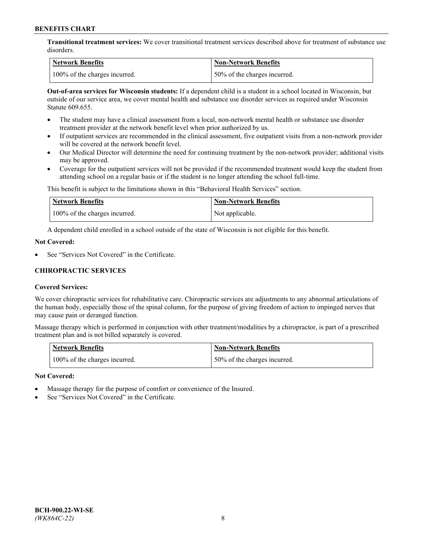**Transitional treatment services:** We cover transitional treatment services described above for treatment of substance use disorders.

| Network Benefits              | Non-Network Benefits          |
|-------------------------------|-------------------------------|
| 100% of the charges incurred. | 150% of the charges incurred. |

**Out-of-area services for Wisconsin students:** If a dependent child is a student in a school located in Wisconsin, but outside of our service area, we cover mental health and substance use disorder services as required under Wisconsin Statute 609.655.

- The student may have a clinical assessment from a local, non-network mental health or substance use disorder treatment provider at the network benefit level when prior authorized by us.
- If outpatient services are recommended in the clinical assessment, five outpatient visits from a non-network provider will be covered at the network benefit level.
- Our Medical Director will determine the need for continuing treatment by the non-network provider; additional visits may be approved.
- Coverage for the outpatient services will not be provided if the recommended treatment would keep the student from attending school on a regular basis or if the student is no longer attending the school full-time.

This benefit is subject to the limitations shown in this "Behavioral Health Services" section.

| Network Benefits              | <b>Non-Network Benefits</b> |
|-------------------------------|-----------------------------|
| 100% of the charges incurred. | Not applicable.             |

A dependent child enrolled in a school outside of the state of Wisconsin is not eligible for this benefit.

#### **Not Covered:**

See "Services Not Covered" in the Certificate.

# **CHIROPRACTIC SERVICES**

## **Covered Services:**

We cover chiropractic services for rehabilitative care. Chiropractic services are adjustments to any abnormal articulations of the human body, especially those of the spinal column, for the purpose of giving freedom of action to impinged nerves that may cause pain or deranged function.

Massage therapy which is performed in conjunction with other treatment/modalities by a chiropractor, is part of a prescribed treatment plan and is not billed separately is covered.

| <b>Network Benefits</b>       | <b>Non-Network Benefits</b>  |
|-------------------------------|------------------------------|
| 100% of the charges incurred. | 50% of the charges incurred. |

#### **Not Covered:**

- Massage therapy for the purpose of comfort or convenience of the Insured.
- See "Services Not Covered" in the Certificate.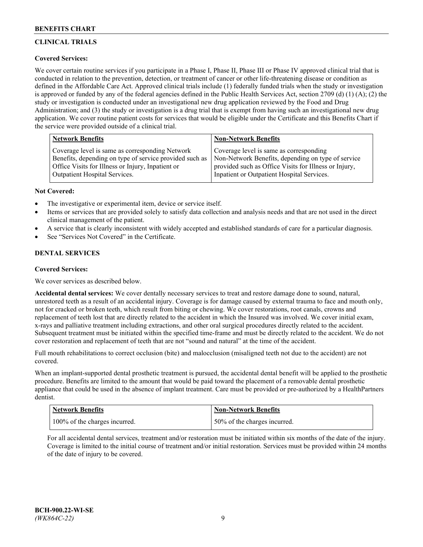# **CLINICAL TRIALS**

# **Covered Services:**

We cover certain routine services if you participate in a Phase I, Phase II, Phase III or Phase IV approved clinical trial that is conducted in relation to the prevention, detection, or treatment of cancer or other life-threatening disease or condition as defined in the Affordable Care Act. Approved clinical trials include (1) federally funded trials when the study or investigation is approved or funded by any of the federal agencies defined in the Public Health Services Act, section 2709 (d) (1) (A); (2) the study or investigation is conducted under an investigational new drug application reviewed by the Food and Drug Administration; and (3) the study or investigation is a drug trial that is exempt from having such an investigational new drug application. We cover routine patient costs for services that would be eligible under the Certificate and this Benefits Chart if the service were provided outside of a clinical trial.

| <b>Network Benefits</b>                                 | <b>Non-Network Benefits</b>                           |
|---------------------------------------------------------|-------------------------------------------------------|
| Coverage level is same as corresponding Network         | Coverage level is same as corresponding               |
| Benefits, depending on type of service provided such as | Non-Network Benefits, depending on type of service    |
| Office Visits for Illness or Injury, Inpatient or       | provided such as Office Visits for Illness or Injury, |
| Outpatient Hospital Services.                           | Inpatient or Outpatient Hospital Services.            |

#### **Not Covered:**

- The investigative or experimental item, device or service itself.
- Items or services that are provided solely to satisfy data collection and analysis needs and that are not used in the direct clinical management of the patient.
- A service that is clearly inconsistent with widely accepted and established standards of care for a particular diagnosis.
- See "Services Not Covered" in the Certificate.

# **DENTAL SERVICES**

## **Covered Services:**

We cover services as described below.

**Accidental dental services:** We cover dentally necessary services to treat and restore damage done to sound, natural, unrestored teeth as a result of an accidental injury. Coverage is for damage caused by external trauma to face and mouth only, not for cracked or broken teeth, which result from biting or chewing. We cover restorations, root canals, crowns and replacement of teeth lost that are directly related to the accident in which the Insured was involved. We cover initial exam, x-rays and palliative treatment including extractions, and other oral surgical procedures directly related to the accident. Subsequent treatment must be initiated within the specified time-frame and must be directly related to the accident. We do not cover restoration and replacement of teeth that are not "sound and natural" at the time of the accident.

Full mouth rehabilitations to correct occlusion (bite) and malocclusion (misaligned teeth not due to the accident) are not covered.

When an implant-supported dental prosthetic treatment is pursued, the accidental dental benefit will be applied to the prosthetic procedure. Benefits are limited to the amount that would be paid toward the placement of a removable dental prosthetic appliance that could be used in the absence of implant treatment. Care must be provided or pre-authorized by a HealthPartners dentist.

| <b>Network Benefits</b>       | <b>Non-Network Benefits</b>  |
|-------------------------------|------------------------------|
| 100% of the charges incurred. | 50% of the charges incurred. |

For all accidental dental services, treatment and/or restoration must be initiated within six months of the date of the injury. Coverage is limited to the initial course of treatment and/or initial restoration. Services must be provided within 24 months of the date of injury to be covered.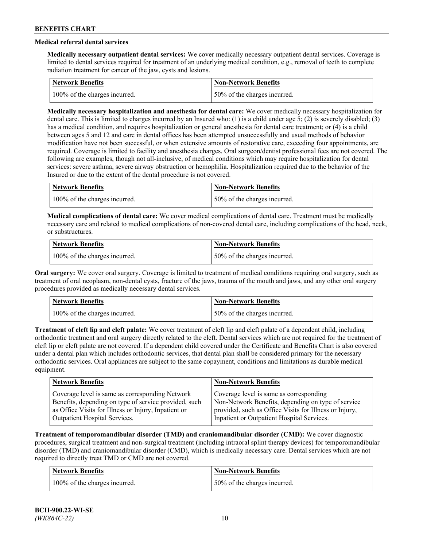# **Medical referral dental services**

**Medically necessary outpatient dental services:** We cover medically necessary outpatient dental services. Coverage is limited to dental services required for treatment of an underlying medical condition, e.g., removal of teeth to complete radiation treatment for cancer of the jaw, cysts and lesions.

| Network Benefits              | <b>Non-Network Benefits</b>  |
|-------------------------------|------------------------------|
| 100% of the charges incurred. | 50% of the charges incurred. |

**Medically necessary hospitalization and anesthesia for dental care:** We cover medically necessary hospitalization for dental care. This is limited to charges incurred by an Insured who: (1) is a child under age 5; (2) is severely disabled; (3) has a medical condition, and requires hospitalization or general anesthesia for dental care treatment; or (4) is a child between ages 5 and 12 and care in dental offices has been attempted unsuccessfully and usual methods of behavior modification have not been successful, or when extensive amounts of restorative care, exceeding four appointments, are required. Coverage is limited to facility and anesthesia charges. Oral surgeon/dentist professional fees are not covered. The following are examples, though not all-inclusive, of medical conditions which may require hospitalization for dental services: severe asthma, severe airway obstruction or hemophilia. Hospitalization required due to the behavior of the Insured or due to the extent of the dental procedure is not covered.

| Network Benefits              | <b>Non-Network Benefits</b>  |
|-------------------------------|------------------------------|
| 100% of the charges incurred. | 50% of the charges incurred. |

**Medical complications of dental care:** We cover medical complications of dental care. Treatment must be medically necessary care and related to medical complications of non-covered dental care, including complications of the head, neck, or substructures.

| Network Benefits              | Non-Network Benefits         |
|-------------------------------|------------------------------|
| 100% of the charges incurred. | 50% of the charges incurred. |

**Oral surgery:** We cover oral surgery. Coverage is limited to treatment of medical conditions requiring oral surgery, such as treatment of oral neoplasm, non-dental cysts, fracture of the jaws, trauma of the mouth and jaws, and any other oral surgery procedures provided as medically necessary dental services.

| Network Benefits              | <b>Non-Network Benefits</b>   |
|-------------------------------|-------------------------------|
| 100% of the charges incurred. | 150% of the charges incurred. |

**Treatment of cleft lip and cleft palate:** We cover treatment of cleft lip and cleft palate of a dependent child, including orthodontic treatment and oral surgery directly related to the cleft. Dental services which are not required for the treatment of cleft lip or cleft palate are not covered. If a dependent child covered under the Certificate and Benefits Chart is also covered under a dental plan which includes orthodontic services, that dental plan shall be considered primary for the necessary orthodontic services. Oral appliances are subject to the same copayment, conditions and limitations as durable medical equipment.

| <b>Network Benefits</b>                               | <b>Non-Network Benefits</b>                            |
|-------------------------------------------------------|--------------------------------------------------------|
| Coverage level is same as corresponding Network       | Coverage level is same as corresponding                |
| Benefits, depending on type of service provided, such | Non-Network Benefits, depending on type of service     |
| as Office Visits for Illness or Injury, Inpatient or  | provided, such as Office Visits for Illness or Injury, |
| Outpatient Hospital Services.                         | Inpatient or Outpatient Hospital Services.             |

**Treatment of temporomandibular disorder (TMD) and craniomandibular disorder (CMD):** We cover diagnostic procedures, surgical treatment and non-surgical treatment (including intraoral splint therapy devices) for temporomandibular disorder (TMD) and craniomandibular disorder (CMD), which is medically necessary care. Dental services which are not required to directly treat TMD or CMD are not covered.

| <b>Network Benefits</b>       | <b>Non-Network Benefits</b>   |
|-------------------------------|-------------------------------|
| 100% of the charges incurred. | 150% of the charges incurred. |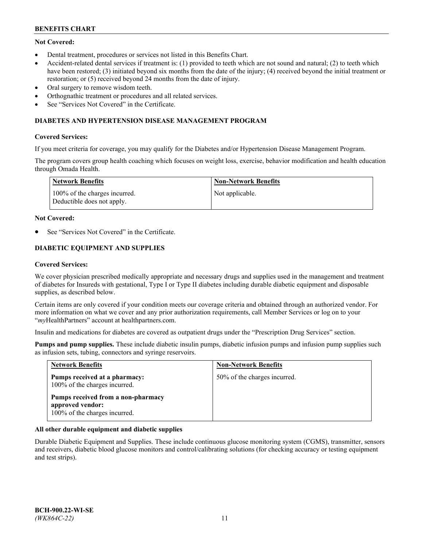# **Not Covered:**

- Dental treatment, procedures or services not listed in this Benefits Chart.
- Accident-related dental services if treatment is: (1) provided to teeth which are not sound and natural; (2) to teeth which have been restored; (3) initiated beyond six months from the date of the injury; (4) received beyond the initial treatment or restoration; or (5) received beyond 24 months from the date of injury.
- Oral surgery to remove wisdom teeth.
- Orthognathic treatment or procedures and all related services.
- See "Services Not Covered" in the Certificate.

### **DIABETES AND HYPERTENSION DISEASE MANAGEMENT PROGRAM**

#### **Covered Services:**

If you meet criteria for coverage, you may qualify for the Diabetes and/or Hypertension Disease Management Program.

The program covers group health coaching which focuses on weight loss, exercise, behavior modification and health education through Omada Health.

| <b>Network Benefits</b>                                     | <b>Non-Network Benefits</b> |
|-------------------------------------------------------------|-----------------------------|
| 100% of the charges incurred.<br>Deductible does not apply. | Not applicable.             |

#### **Not Covered:**

See "Services Not Covered" in the Certificate.

# **DIABETIC EQUIPMENT AND SUPPLIES**

#### **Covered Services:**

We cover physician prescribed medically appropriate and necessary drugs and supplies used in the management and treatment of diabetes for Insureds with gestational, Type I or Type II diabetes including durable diabetic equipment and disposable supplies, as described below.

Certain items are only covered if your condition meets our coverage criteria and obtained through an authorized vendor. For more information on what we cover and any prior authorization requirements, call Member Services or log on to your "*my*HealthPartners" account at [healthpartners.com.](http://www.healthpartners.com/)

Insulin and medications for diabetes are covered as outpatient drugs under the "Prescription Drug Services" section.

**Pumps and pump supplies.** These include diabetic insulin pumps, diabetic infusion pumps and infusion pump supplies such as infusion sets, tubing, connectors and syringe reservoirs.

| <b>Network Benefits</b>                                                                 | <b>Non-Network Benefits</b>  |
|-----------------------------------------------------------------------------------------|------------------------------|
| Pumps received at a pharmacy:<br>100% of the charges incurred.                          | 50% of the charges incurred. |
| Pumps received from a non-pharmacy<br>approved vendor:<br>100% of the charges incurred. |                              |

## **All other durable equipment and diabetic supplies**

Durable Diabetic Equipment and Supplies. These include continuous glucose monitoring system (CGMS), transmitter, sensors and receivers, diabetic blood glucose monitors and control/calibrating solutions (for checking accuracy or testing equipment and test strips).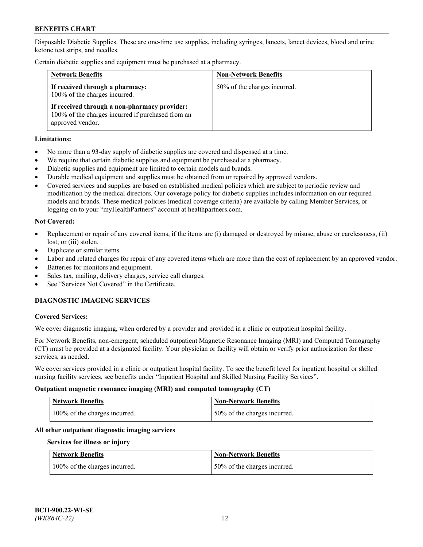Disposable Diabetic Supplies. These are one-time use supplies, including syringes, lancets, lancet devices, blood and urine ketone test strips, and needles.

Certain diabetic supplies and equipment must be purchased at a pharmacy.

| <b>Network Benefits</b>                                                                                               | <b>Non-Network Benefits</b>  |
|-----------------------------------------------------------------------------------------------------------------------|------------------------------|
| If received through a pharmacy:<br>100% of the charges incurred.                                                      | 50% of the charges incurred. |
| If received through a non-pharmacy provider:<br>100% of the charges incurred if purchased from an<br>approved vendor. |                              |

#### **Limitations:**

- No more than a 93-day supply of diabetic supplies are covered and dispensed at a time.
- We require that certain diabetic supplies and equipment be purchased at a pharmacy.
- Diabetic supplies and equipment are limited to certain models and brands.
- Durable medical equipment and supplies must be obtained from or repaired by approved vendors.
- Covered services and supplies are based on established medical policies which are subject to periodic review and modification by the medical directors. Our coverage policy for diabetic supplies includes information on our required models and brands. These medical policies (medical coverage criteria) are available by calling Member Services, or logging on to your "myHealthPartners" account at [healthpartners.com.](http://www.healthpartners.com/)

#### **Not Covered:**

- Replacement or repair of any covered items, if the items are (i) damaged or destroyed by misuse, abuse or carelessness, (ii) lost; or (iii) stolen.
- Duplicate or similar items.
- Labor and related charges for repair of any covered items which are more than the cost of replacement by an approved vendor.
- Batteries for monitors and equipment.
- Sales tax, mailing, delivery charges, service call charges.
- See "Services Not Covered" in the Certificate.

# **DIAGNOSTIC IMAGING SERVICES**

#### **Covered Services:**

We cover diagnostic imaging, when ordered by a provider and provided in a clinic or outpatient hospital facility.

For Network Benefits, non-emergent, scheduled outpatient Magnetic Resonance Imaging (MRI) and Computed Tomography (CT) must be provided at a designated facility. Your physician or facility will obtain or verify prior authorization for these services, as needed.

We cover services provided in a clinic or outpatient hospital facility. To see the benefit level for inpatient hospital or skilled nursing facility services, see benefits under "Inpatient Hospital and Skilled Nursing Facility Services".

#### **Outpatient magnetic resonance imaging (MRI) and computed tomography (CT)**

| <b>Network Benefits</b>       | <b>Non-Network Benefits</b>  |
|-------------------------------|------------------------------|
| 100% of the charges incurred. | 50% of the charges incurred. |

#### **All other outpatient diagnostic imaging services**

#### **Services for illness or injury**

| <b>Network Benefits</b>       | <b>Non-Network Benefits</b>  |
|-------------------------------|------------------------------|
| 100% of the charges incurred. | 50% of the charges incurred. |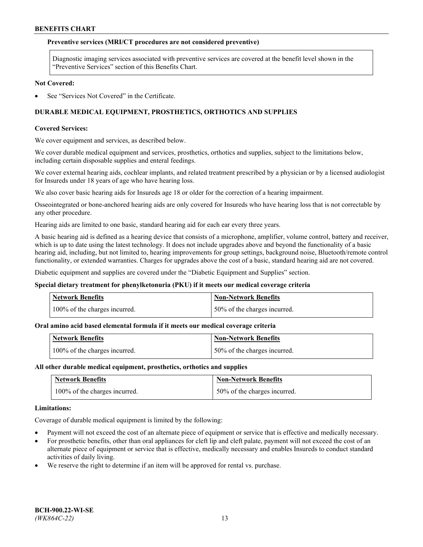### **Preventive services (MRI/CT procedures are not considered preventive)**

Diagnostic imaging services associated with preventive services are covered at the benefit level shown in the "Preventive Services" section of this Benefits Chart.

#### **Not Covered:**

See "Services Not Covered" in the Certificate.

# **DURABLE MEDICAL EQUIPMENT, PROSTHETICS, ORTHOTICS AND SUPPLIES**

#### **Covered Services:**

We cover equipment and services, as described below.

We cover durable medical equipment and services, prosthetics, orthotics and supplies, subject to the limitations below, including certain disposable supplies and enteral feedings.

We cover external hearing aids, cochlear implants, and related treatment prescribed by a physician or by a licensed audiologist for Insureds under 18 years of age who have hearing loss.

We also cover basic hearing aids for Insureds age 18 or older for the correction of a hearing impairment.

Osseointegrated or bone-anchored hearing aids are only covered for Insureds who have hearing loss that is not correctable by any other procedure.

Hearing aids are limited to one basic, standard hearing aid for each ear every three years.

A basic hearing aid is defined as a hearing device that consists of a microphone, amplifier, volume control, battery and receiver, which is up to date using the latest technology. It does not include upgrades above and beyond the functionality of a basic hearing aid, including, but not limited to, hearing improvements for group settings, background noise, Bluetooth/remote control functionality, or extended warranties. Charges for upgrades above the cost of a basic, standard hearing aid are not covered.

Diabetic equipment and supplies are covered under the "Diabetic Equipment and Supplies" section.

#### **Special dietary treatment for phenylketonuria (PKU) if it meets our medical coverage criteria**

| <b>Network Benefits</b>       | <b>Non-Network Benefits</b>  |
|-------------------------------|------------------------------|
| 100% of the charges incurred. | 50% of the charges incurred. |

## **Oral amino acid based elemental formula if it meets our medical coverage criteria**

| <b>Network Benefits</b>       | Non-Network Benefits         |
|-------------------------------|------------------------------|
| 100% of the charges incurred. | 50% of the charges incurred. |

#### **All other durable medical equipment, prosthetics, orthotics and supplies**

| <b>Network Benefits</b>       | <b>Non-Network Benefits</b>  |
|-------------------------------|------------------------------|
| 100% of the charges incurred. | 50% of the charges incurred. |

#### **Limitations:**

Coverage of durable medical equipment is limited by the following:

- Payment will not exceed the cost of an alternate piece of equipment or service that is effective and medically necessary.
- For prosthetic benefits, other than oral appliances for cleft lip and cleft palate, payment will not exceed the cost of an alternate piece of equipment or service that is effective, medically necessary and enables Insureds to conduct standard activities of daily living.
- We reserve the right to determine if an item will be approved for rental vs. purchase.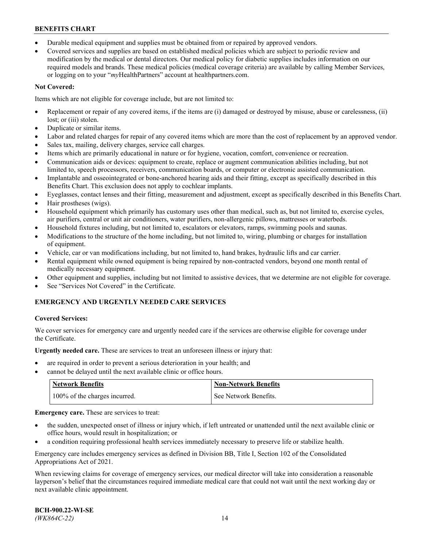- Durable medical equipment and supplies must be obtained from or repaired by approved vendors.
- Covered services and supplies are based on established medical policies which are subject to periodic review and modification by the medical or dental directors. Our medical policy for diabetic supplies includes information on our required models and brands. These medical policies (medical coverage criteria) are available by calling Member Services, or logging on to your "*my*HealthPartners" account a[t healthpartners.com.](http://www.healthpartners.com/)

# **Not Covered:**

Items which are not eligible for coverage include, but are not limited to:

- Replacement or repair of any covered items, if the items are (i) damaged or destroyed by misuse, abuse or carelessness, (ii) lost; or (iii) stolen.
- Duplicate or similar items.
- Labor and related charges for repair of any covered items which are more than the cost of replacement by an approved vendor.
- Sales tax, mailing, delivery charges, service call charges.
- Items which are primarily educational in nature or for hygiene, vocation, comfort, convenience or recreation.
- Communication aids or devices: equipment to create, replace or augment communication abilities including, but not limited to, speech processors, receivers, communication boards, or computer or electronic assisted communication.
- Implantable and osseointegrated or bone-anchored hearing aids and their fitting, except as specifically described in this Benefits Chart. This exclusion does not apply to cochlear implants.
- Eyeglasses, contact lenses and their fitting, measurement and adjustment, except as specifically described in this Benefits Chart.
- Hair prostheses (wigs).
- Household equipment which primarily has customary uses other than medical, such as, but not limited to, exercise cycles, air purifiers, central or unit air conditioners, water purifiers, non-allergenic pillows, mattresses or waterbeds.
- Household fixtures including, but not limited to, escalators or elevators, ramps, swimming pools and saunas.
- Modifications to the structure of the home including, but not limited to, wiring, plumbing or charges for installation of equipment.
- Vehicle, car or van modifications including, but not limited to, hand brakes, hydraulic lifts and car carrier.
- Rental equipment while owned equipment is being repaired by non-contracted vendors, beyond one month rental of medically necessary equipment.
- Other equipment and supplies, including but not limited to assistive devices, that we determine are not eligible for coverage.
- See "Services Not Covered" in the Certificate.

# **EMERGENCY AND URGENTLY NEEDED CARE SERVICES**

## **Covered Services:**

We cover services for emergency care and urgently needed care if the services are otherwise eligible for coverage under the Certificate.

**Urgently needed care.** These are services to treat an unforeseen illness or injury that:

- are required in order to prevent a serious deterioration in your health; and
- cannot be delayed until the next available clinic or office hours.

| <b>Network Benefits</b>       | <b>Non-Network Benefits</b> |
|-------------------------------|-----------------------------|
| 100% of the charges incurred. | See Network Benefits.       |

**Emergency care.** These are services to treat:

- the sudden, unexpected onset of illness or injury which, if left untreated or unattended until the next available clinic or office hours, would result in hospitalization; or
- a condition requiring professional health services immediately necessary to preserve life or stabilize health.

Emergency care includes emergency services as defined in Division BB, Title I, Section 102 of the Consolidated Appropriations Act of 2021.

When reviewing claims for coverage of emergency services, our medical director will take into consideration a reasonable layperson's belief that the circumstances required immediate medical care that could not wait until the next working day or next available clinic appointment.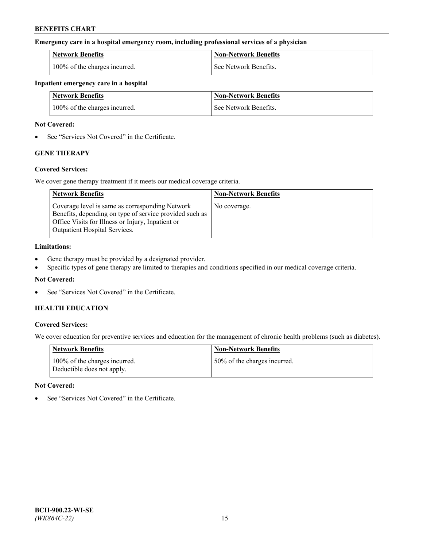#### **Emergency care in a hospital emergency room, including professional services of a physician**

| <b>Network Benefits</b>       | <b>Non-Network Benefits</b> |
|-------------------------------|-----------------------------|
| 100% of the charges incurred. | See Network Benefits.       |

#### **Inpatient emergency care in a hospital**

| <b>Network Benefits</b>       | <b>Non-Network Benefits</b> |
|-------------------------------|-----------------------------|
| 100% of the charges incurred. | See Network Benefits.       |

#### **Not Covered:**

• See "Services Not Covered" in the Certificate.

# **GENE THERAPY**

## **Covered Services:**

We cover gene therapy treatment if it meets our medical coverage criteria.

| <b>Network Benefits</b>                                                                                                                                                                          | <b>Non-Network Benefits</b> |
|--------------------------------------------------------------------------------------------------------------------------------------------------------------------------------------------------|-----------------------------|
| Coverage level is same as corresponding Network<br>Benefits, depending on type of service provided such as<br>Office Visits for Illness or Injury, Inpatient or<br>Outpatient Hospital Services. | No coverage.                |

### **Limitations:**

- Gene therapy must be provided by a designated provider.
- Specific types of gene therapy are limited to therapies and conditions specified in our medical coverage criteria.

# **Not Covered:**

See "Services Not Covered" in the Certificate.

# **HEALTH EDUCATION**

## **Covered Services:**

We cover education for preventive services and education for the management of chronic health problems (such as diabetes).

| <b>Network Benefits</b>                                     | <b>Non-Network Benefits</b>  |
|-------------------------------------------------------------|------------------------------|
| 100% of the charges incurred.<br>Deductible does not apply. | 50% of the charges incurred. |

#### **Not Covered:**

See "Services Not Covered" in the Certificate.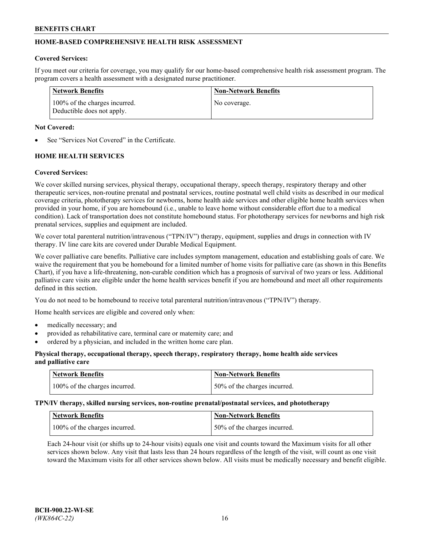# **HOME-BASED COMPREHENSIVE HEALTH RISK ASSESSMENT**

#### **Covered Services:**

If you meet our criteria for coverage, you may qualify for our home-based comprehensive health risk assessment program. The program covers a health assessment with a designated nurse practitioner.

| Network Benefits                                            | <b>Non-Network Benefits</b> |
|-------------------------------------------------------------|-----------------------------|
| 100% of the charges incurred.<br>Deductible does not apply. | No coverage.                |

#### **Not Covered:**

See "Services Not Covered" in the Certificate.

# **HOME HEALTH SERVICES**

#### **Covered Services:**

We cover skilled nursing services, physical therapy, occupational therapy, speech therapy, respiratory therapy and other therapeutic services, non-routine prenatal and postnatal services, routine postnatal well child visits as described in our medical coverage criteria, phototherapy services for newborns, home health aide services and other eligible home health services when provided in your home, if you are homebound (i.e., unable to leave home without considerable effort due to a medical condition). Lack of transportation does not constitute homebound status. For phototherapy services for newborns and high risk prenatal services, supplies and equipment are included.

We cover total parenteral nutrition/intravenous ("TPN/IV") therapy, equipment, supplies and drugs in connection with IV therapy. IV line care kits are covered under Durable Medical Equipment.

We cover palliative care benefits. Palliative care includes symptom management, education and establishing goals of care. We waive the requirement that you be homebound for a limited number of home visits for palliative care (as shown in this Benefits Chart), if you have a life-threatening, non-curable condition which has a prognosis of survival of two years or less. Additional palliative care visits are eligible under the home health services benefit if you are homebound and meet all other requirements defined in this section.

You do not need to be homebound to receive total parenteral nutrition/intravenous ("TPN/IV") therapy.

Home health services are eligible and covered only when:

- medically necessary; and
- provided as rehabilitative care, terminal care or maternity care; and
- ordered by a physician, and included in the written home care plan.

### **Physical therapy, occupational therapy, speech therapy, respiratory therapy, home health aide services and palliative care**

| <b>Network Benefits</b>       | <b>Non-Network Benefits</b>  |
|-------------------------------|------------------------------|
| 100% of the charges incurred. | 50% of the charges incurred. |

**TPN/IV therapy, skilled nursing services, non-routine prenatal/postnatal services, and phototherapy**

| Network Benefits              | Non-Network Benefits         |
|-------------------------------|------------------------------|
| 100% of the charges incurred. | 50% of the charges incurred. |

Each 24-hour visit (or shifts up to 24-hour visits) equals one visit and counts toward the Maximum visits for all other services shown below. Any visit that lasts less than 24 hours regardless of the length of the visit, will count as one visit toward the Maximum visits for all other services shown below. All visits must be medically necessary and benefit eligible.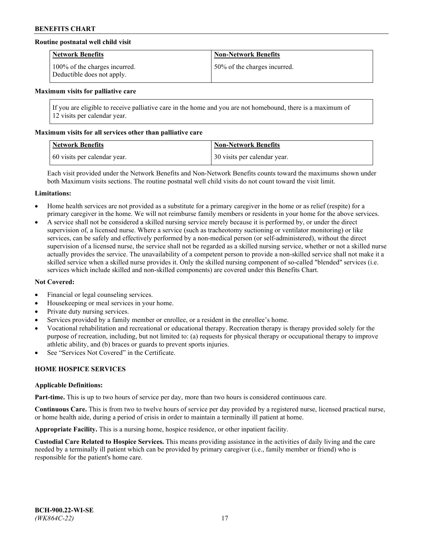## **Routine postnatal well child visit**

| <b>Network Benefits</b>                                     | <b>Non-Network Benefits</b>  |
|-------------------------------------------------------------|------------------------------|
| 100% of the charges incurred.<br>Deductible does not apply. | 50% of the charges incurred. |

#### **Maximum visits for palliative care**

If you are eligible to receive palliative care in the home and you are not homebound, there is a maximum of 12 visits per calendar year.

#### **Maximum visits for all services other than palliative care**

| <b>Network Benefits</b>      | <b>Non-Network Benefits</b>  |
|------------------------------|------------------------------|
| 60 visits per calendar year. | 30 visits per calendar year. |

Each visit provided under the Network Benefits and Non-Network Benefits counts toward the maximums shown under both Maximum visits sections. The routine postnatal well child visits do not count toward the visit limit.

#### **Limitations:**

- Home health services are not provided as a substitute for a primary caregiver in the home or as relief (respite) for a primary caregiver in the home. We will not reimburse family members or residents in your home for the above services.
- A service shall not be considered a skilled nursing service merely because it is performed by, or under the direct supervision of, a licensed nurse. Where a service (such as tracheotomy suctioning or ventilator monitoring) or like services, can be safely and effectively performed by a non-medical person (or self-administered), without the direct supervision of a licensed nurse, the service shall not be regarded as a skilled nursing service, whether or not a skilled nurse actually provides the service. The unavailability of a competent person to provide a non-skilled service shall not make it a skilled service when a skilled nurse provides it. Only the skilled nursing component of so-called "blended" services (i.e. services which include skilled and non-skilled components) are covered under this Benefits Chart.

#### **Not Covered:**

- Financial or legal counseling services.
- Housekeeping or meal services in your home.
- Private duty nursing services.
- Services provided by a family member or enrollee, or a resident in the enrollee's home.
- Vocational rehabilitation and recreational or educational therapy. Recreation therapy is therapy provided solely for the purpose of recreation, including, but not limited to: (a) requests for physical therapy or occupational therapy to improve athletic ability, and (b) braces or guards to prevent sports injuries.
- See "Services Not Covered" in the Certificate.

# **HOME HOSPICE SERVICES**

#### **Applicable Definitions:**

**Part-time.** This is up to two hours of service per day, more than two hours is considered continuous care.

**Continuous Care.** This is from two to twelve hours of service per day provided by a registered nurse, licensed practical nurse, or home health aide, during a period of crisis in order to maintain a terminally ill patient at home.

**Appropriate Facility.** This is a nursing home, hospice residence, or other inpatient facility.

**Custodial Care Related to Hospice Services.** This means providing assistance in the activities of daily living and the care needed by a terminally ill patient which can be provided by primary caregiver (i.e., family member or friend) who is responsible for the patient's home care.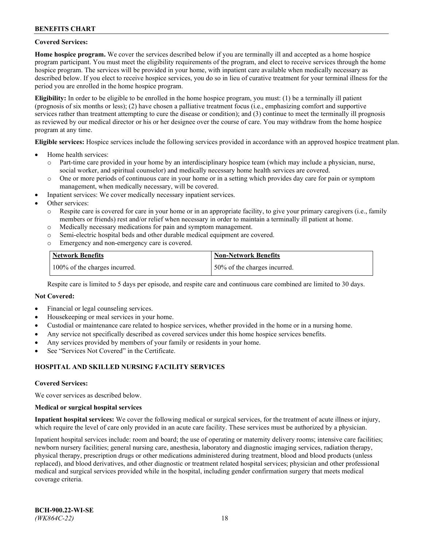### **Covered Services:**

**Home hospice program.** We cover the services described below if you are terminally ill and accepted as a home hospice program participant. You must meet the eligibility requirements of the program, and elect to receive services through the home hospice program. The services will be provided in your home, with inpatient care available when medically necessary as described below. If you elect to receive hospice services, you do so in lieu of curative treatment for your terminal illness for the period you are enrolled in the home hospice program.

**Eligibility:** In order to be eligible to be enrolled in the home hospice program, you must: (1) be a terminally ill patient (prognosis of six months or less); (2) have chosen a palliative treatment focus (i.e., emphasizing comfort and supportive services rather than treatment attempting to cure the disease or condition); and (3) continue to meet the terminally ill prognosis as reviewed by our medical director or his or her designee over the course of care. You may withdraw from the home hospice program at any time.

**Eligible services:** Hospice services include the following services provided in accordance with an approved hospice treatment plan.

- Home health services:
	- o Part-time care provided in your home by an interdisciplinary hospice team (which may include a physician, nurse, social worker, and spiritual counselor) and medically necessary home health services are covered.
	- o One or more periods of continuous care in your home or in a setting which provides day care for pain or symptom management, when medically necessary, will be covered.
- Inpatient services: We cover medically necessary inpatient services.
- Other services:
	- o Respite care is covered for care in your home or in an appropriate facility, to give your primary caregivers (i.e., family members or friends) rest and/or relief when necessary in order to maintain a terminally ill patient at home.
	- o Medically necessary medications for pain and symptom management.
	- o Semi-electric hospital beds and other durable medical equipment are covered.
	- Emergency and non-emergency care is covered.

| Network Benefits              | <b>Non-Network Benefits</b>  |
|-------------------------------|------------------------------|
| 100% of the charges incurred. | 50% of the charges incurred. |

Respite care is limited to 5 days per episode, and respite care and continuous care combined are limited to 30 days.

### **Not Covered:**

- Financial or legal counseling services.
- Housekeeping or meal services in your home.
- Custodial or maintenance care related to hospice services, whether provided in the home or in a nursing home.
- Any service not specifically described as covered services under this home hospice services benefits.
- Any services provided by members of your family or residents in your home.
- See "Services Not Covered" in the Certificate.

## **HOSPITAL AND SKILLED NURSING FACILITY SERVICES**

#### **Covered Services:**

We cover services as described below.

#### **Medical or surgical hospital services**

**Inpatient hospital services:** We cover the following medical or surgical services, for the treatment of acute illness or injury, which require the level of care only provided in an acute care facility. These services must be authorized by a physician.

Inpatient hospital services include: room and board; the use of operating or maternity delivery rooms; intensive care facilities; newborn nursery facilities; general nursing care, anesthesia, laboratory and diagnostic imaging services, radiation therapy, physical therapy, prescription drugs or other medications administered during treatment, blood and blood products (unless replaced), and blood derivatives, and other diagnostic or treatment related hospital services; physician and other professional medical and surgical services provided while in the hospital, including gender confirmation surgery that meets medical coverage criteria.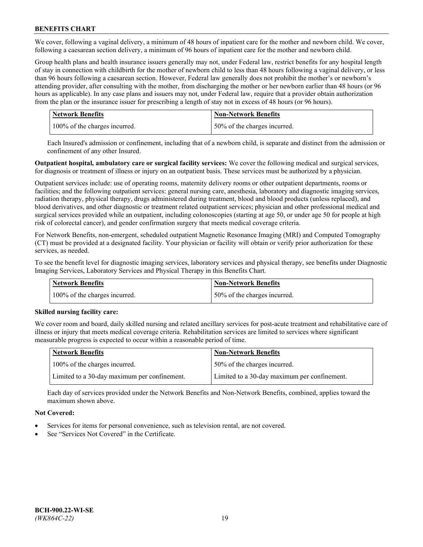We cover, following a vaginal delivery, a minimum of 48 hours of inpatient care for the mother and newborn child. We cover, following a caesarean section delivery, a minimum of 96 hours of inpatient care for the mother and newborn child.

Group health plans and health insurance issuers generally may not, under Federal law, restrict benefits for any hospital length of stay in connection with childbirth for the mother of newborn child to less than 48 hours following a vaginal delivery, or less than 96 hours following a caesarean section. However, Federal law generally does not prohibit the mother's or newborn's attending provider, after consulting with the mother, from discharging the mother or her newborn earlier than 48 hours (or 96 hours as applicable). In any case plans and issuers may not, under Federal law, require that a provider obtain authorization from the plan or the insurance issuer for prescribing a length of stay not in excess of 48 hours (or 96 hours).

| <b>Network Benefits</b>       | <b>Non-Network Benefits</b>  |
|-------------------------------|------------------------------|
| 100% of the charges incurred. | 50% of the charges incurred. |

Each Insured's admission or confinement, including that of a newborn child, is separate and distinct from the admission or confinement of any other Insured.

**Outpatient hospital, ambulatory care or surgical facility services:** We cover the following medical and surgical services, for diagnosis or treatment of illness or injury on an outpatient basis. These services must be authorized by a physician.

Outpatient services include: use of operating rooms, maternity delivery rooms or other outpatient departments, rooms or facilities; and the following outpatient services: general nursing care, anesthesia, laboratory and diagnostic imaging services, radiation therapy, physical therapy, drugs administered during treatment, blood and blood products (unless replaced), and blood derivatives, and other diagnostic or treatment related outpatient services; physician and other professional medical and surgical services provided while an outpatient, including colonoscopies (starting at age 50, or under age 50 for people at high risk of colorectal cancer), and gender confirmation surgery that meets medical coverage criteria.

For Network Benefits, non-emergent, scheduled outpatient Magnetic Resonance Imaging (MRI) and Computed Tomography (CT) must be provided at a designated facility. Your physician or facility will obtain or verify prior authorization for these services, as needed.

To see the benefit level for diagnostic imaging services, laboratory services and physical therapy, see benefits under Diagnostic Imaging Services, Laboratory Services and Physical Therapy in this Benefits Chart.

| <b>Network Benefits</b>       | <b>Non-Network Benefits</b>  |
|-------------------------------|------------------------------|
| 100% of the charges incurred. | 50% of the charges incurred. |

## **Skilled nursing facility care:**

We cover room and board, daily skilled nursing and related ancillary services for post-acute treatment and rehabilitative care of illness or injury that meets medical coverage criteria. Rehabilitation services are limited to services where significant measurable progress is expected to occur within a reasonable period of time.

| Network Benefits                             | <b>Non-Network Benefits</b>                  |
|----------------------------------------------|----------------------------------------------|
| 100% of the charges incurred.                | 50% of the charges incurred.                 |
| Limited to a 30-day maximum per confinement. | Limited to a 30-day maximum per confinement. |

Each day of services provided under the Network Benefits and Non-Network Benefits, combined, applies toward the maximum shown above.

## **Not Covered:**

- Services for items for personal convenience, such as television rental, are not covered.
- See "Services Not Covered" in the Certificate.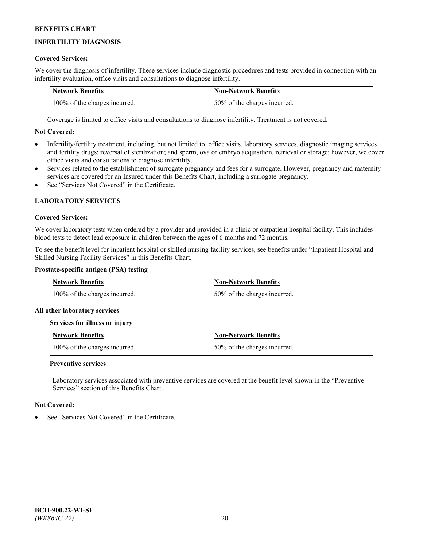# **INFERTILITY DIAGNOSIS**

# **Covered Services:**

We cover the diagnosis of infertility. These services include diagnostic procedures and tests provided in connection with an infertility evaluation, office visits and consultations to diagnose infertility.

| <b>Network Benefits</b>       | <b>Non-Network Benefits</b>  |
|-------------------------------|------------------------------|
| 100% of the charges incurred. | 50% of the charges incurred. |

Coverage is limited to office visits and consultations to diagnose infertility. Treatment is not covered.

# **Not Covered:**

- Infertility/fertility treatment, including, but not limited to, office visits, laboratory services, diagnostic imaging services and fertility drugs; reversal of sterilization; and sperm, ova or embryo acquisition, retrieval or storage; however, we cover office visits and consultations to diagnose infertility.
- Services related to the establishment of surrogate pregnancy and fees for a surrogate. However, pregnancy and maternity services are covered for an Insured under this Benefits Chart, including a surrogate pregnancy.
- See "Services Not Covered" in the Certificate

# **LABORATORY SERVICES**

## **Covered Services:**

We cover laboratory tests when ordered by a provider and provided in a clinic or outpatient hospital facility. This includes blood tests to detect lead exposure in children between the ages of 6 months and 72 months.

To see the benefit level for inpatient hospital or skilled nursing facility services, see benefits under "Inpatient Hospital and Skilled Nursing Facility Services" in this Benefits Chart.

# **Prostate-specific antigen (PSA) testing**

| <b>Network Benefits</b>       | <b>Non-Network Benefits</b>  |
|-------------------------------|------------------------------|
| 100% of the charges incurred. | 50% of the charges incurred. |

## **All other laboratory services**

**Services for illness or injury**

| <b>Network Benefits</b>       | 'Non-Network Benefits        |
|-------------------------------|------------------------------|
| 100% of the charges incurred. | 50% of the charges incurred. |

## **Preventive services**

Laboratory services associated with preventive services are covered at the benefit level shown in the "Preventive Services" section of this Benefits Chart.

## **Not Covered:**

See "Services Not Covered" in the Certificate.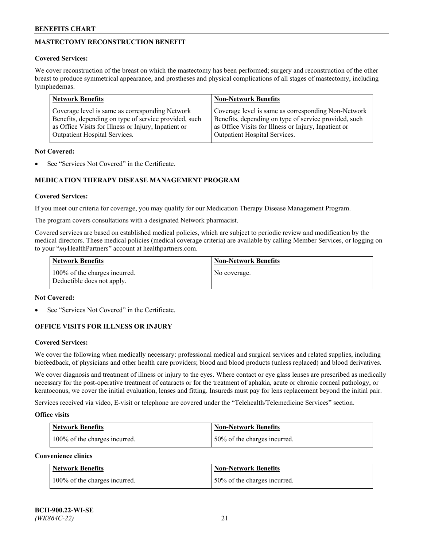# **MASTECTOMY RECONSTRUCTION BENEFIT**

## **Covered Services:**

We cover reconstruction of the breast on which the mastectomy has been performed; surgery and reconstruction of the other breast to produce symmetrical appearance, and prostheses and physical complications of all stages of mastectomy, including lymphedemas.

| <b>Network Benefits</b>                               | <b>Non-Network Benefits</b>                           |
|-------------------------------------------------------|-------------------------------------------------------|
| Coverage level is same as corresponding Network       | Coverage level is same as corresponding Non-Network   |
| Benefits, depending on type of service provided, such | Benefits, depending on type of service provided, such |
| as Office Visits for Illness or Injury, Inpatient or  | as Office Visits for Illness or Injury, Inpatient or  |
| Outpatient Hospital Services.                         | Outpatient Hospital Services.                         |

#### **Not Covered:**

See "Services Not Covered" in the Certificate.

# **MEDICATION THERAPY DISEASE MANAGEMENT PROGRAM**

## **Covered Services:**

If you meet our criteria for coverage, you may qualify for our Medication Therapy Disease Management Program.

The program covers consultations with a designated Network pharmacist.

Covered services are based on established medical policies, which are subject to periodic review and modification by the medical directors. These medical policies (medical coverage criteria) are available by calling Member Services, or logging on to your "*my*HealthPartners" account at [healthpartners.com.](http://www.healthpartners.com/)

| Network Benefits                                            | <b>Non-Network Benefits</b> |
|-------------------------------------------------------------|-----------------------------|
| 100% of the charges incurred.<br>Deductible does not apply. | No coverage.                |

### **Not Covered:**

See "Services Not Covered" in the Certificate.

## **OFFICE VISITS FOR ILLNESS OR INJURY**

#### **Covered Services:**

We cover the following when medically necessary: professional medical and surgical services and related supplies, including biofeedback, of physicians and other health care providers; blood and blood products (unless replaced) and blood derivatives.

We cover diagnosis and treatment of illness or injury to the eyes. Where contact or eye glass lenses are prescribed as medically necessary for the post-operative treatment of cataracts or for the treatment of aphakia, acute or chronic corneal pathology, or keratoconus, we cover the initial evaluation, lenses and fitting. Insureds must pay for lens replacement beyond the initial pair.

Services received via video, E-visit or telephone are covered under the "Telehealth/Telemedicine Services" section.

#### **Office visits**

| <b>Network Benefits</b>       | <b>Non-Network Benefits</b>   |
|-------------------------------|-------------------------------|
| 100% of the charges incurred. | 150% of the charges incurred. |

**Convenience clinics**

| <b>Network Benefits</b>       | <b>Non-Network Benefits</b>   |
|-------------------------------|-------------------------------|
| 100% of the charges incurred. | 150% of the charges incurred. |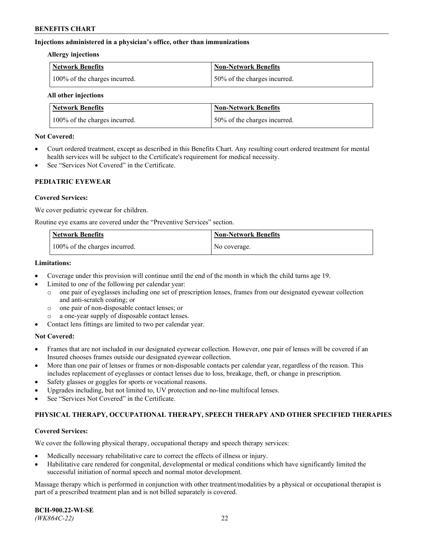### **Injections administered in a physician's office, other than immunizations**

#### **Allergy injections**

| Network Benefits              | Non-Network Benefits         |
|-------------------------------|------------------------------|
| 100% of the charges incurred. | 50% of the charges incurred. |

#### **All other injections**

| <b>Network Benefits</b>       | <b>Non-Network Benefits</b>  |
|-------------------------------|------------------------------|
| 100% of the charges incurred. | 50% of the charges incurred. |

#### **Not Covered:**

- Court ordered treatment, except as described in this Benefits Chart. Any resulting court ordered treatment for mental health services will be subject to the Certificate's requirement for medical necessity.
- See "Services Not Covered" in the Certificate.

## **PEDIATRIC EYEWEAR**

#### **Covered Services:**

We cover pediatric eyewear for children.

Routine eye exams are covered under the "Preventive Services" section.

| Network Benefits              | <b>Non-Network Benefits</b> |
|-------------------------------|-----------------------------|
| 100% of the charges incurred. | No coverage.                |

### **Limitations:**

- Coverage under this provision will continue until the end of the month in which the child turns age 19.
- Limited to one of the following per calendar year:
	- o one pair of eyeglasses including one set of prescription lenses, frames from our designated eyewear collection and anti-scratch coating; or
	- o one pair of non-disposable contact lenses; or
	- o a one-year supply of disposable contact lenses.
- Contact lens fittings are limited to two per calendar year.

## **Not Covered:**

- Frames that are not included in our designated eyewear collection. However, one pair of lenses will be covered if an Insured chooses frames outside our designated eyewear collection.
- More than one pair of lenses or frames or non-disposable contacts per calendar year, regardless of the reason. This includes replacement of eyeglasses or contact lenses due to loss, breakage, theft, or change in prescription.
- Safety glasses or goggles for sports or vocational reasons.
- Upgrades including, but not limited to, UV protection and no-line multifocal lenses.
- See "Services Not Covered" in the Certificate.

## **PHYSICAL THERAPY, OCCUPATIONAL THERAPY, SPEECH THERAPY AND OTHER SPECIFIED THERAPIES**

#### **Covered Services:**

We cover the following physical therapy, occupational therapy and speech therapy services:

- Medically necessary rehabilitative care to correct the effects of illness or injury.
- Habilitative care rendered for congenital, developmental or medical conditions which have significantly limited the successful initiation of normal speech and normal motor development.

Massage therapy which is performed in conjunction with other treatment/modalities by a physical or occupational therapist is part of a prescribed treatment plan and is not billed separately is covered.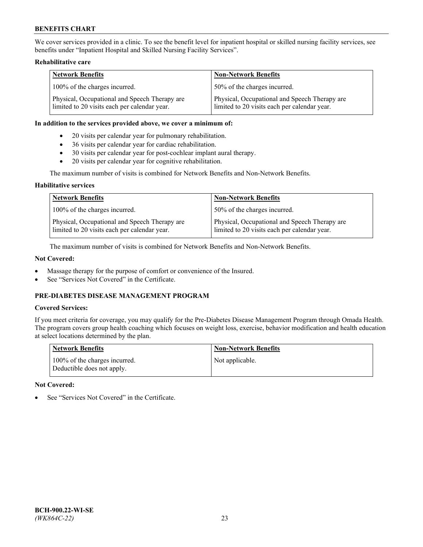We cover services provided in a clinic. To see the benefit level for inpatient hospital or skilled nursing facility services, see benefits under "Inpatient Hospital and Skilled Nursing Facility Services".

## **Rehabilitative care**

| <b>Network Benefits</b>                                                                       | <b>Non-Network Benefits</b>                                                                   |
|-----------------------------------------------------------------------------------------------|-----------------------------------------------------------------------------------------------|
| 100% of the charges incurred.                                                                 | 50% of the charges incurred.                                                                  |
| Physical, Occupational and Speech Therapy are<br>limited to 20 visits each per calendar year. | Physical, Occupational and Speech Therapy are<br>limited to 20 visits each per calendar year. |

#### **In addition to the services provided above, we cover a minimum of:**

- 20 visits per calendar year for pulmonary rehabilitation.
- 36 visits per calendar year for cardiac rehabilitation.
- 30 visits per calendar year for post-cochlear implant aural therapy.
- 20 visits per calendar year for cognitive rehabilitation.

The maximum number of visits is combined for Network Benefits and Non-Network Benefits.

#### **Habilitative services**

| <b>Network Benefits</b>                                                                       | <b>Non-Network Benefits</b>                                                                   |
|-----------------------------------------------------------------------------------------------|-----------------------------------------------------------------------------------------------|
| 100% of the charges incurred.                                                                 | 50% of the charges incurred.                                                                  |
| Physical, Occupational and Speech Therapy are<br>limited to 20 visits each per calendar year. | Physical, Occupational and Speech Therapy are<br>limited to 20 visits each per calendar year. |

The maximum number of visits is combined for Network Benefits and Non-Network Benefits.

## **Not Covered:**

- Massage therapy for the purpose of comfort or convenience of the Insured.
- See "Services Not Covered" in the Certificate.

# **PRE-DIABETES DISEASE MANAGEMENT PROGRAM**

## **Covered Services:**

If you meet criteria for coverage, you may qualify for the Pre-Diabetes Disease Management Program through Omada Health. The program covers group health coaching which focuses on weight loss, exercise, behavior modification and health education at select locations determined by the plan.

| <b>Network Benefits</b>                                     | <b>Non-Network Benefits</b> |
|-------------------------------------------------------------|-----------------------------|
| 100% of the charges incurred.<br>Deductible does not apply. | Not applicable.             |

## **Not Covered:**

See "Services Not Covered" in the Certificate.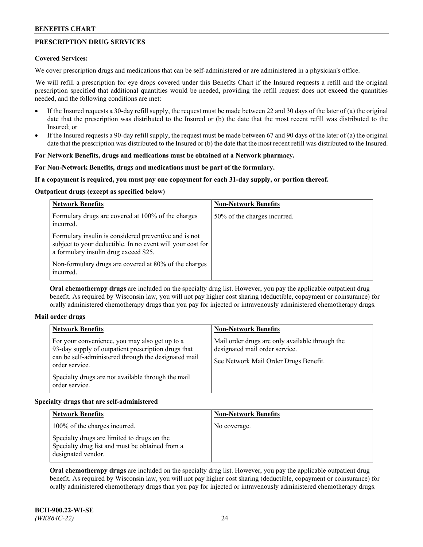# **PRESCRIPTION DRUG SERVICES**

### **Covered Services:**

We cover prescription drugs and medications that can be self-administered or are administered in a physician's office.

We will refill a prescription for eye drops covered under this Benefits Chart if the Insured requests a refill and the original prescription specified that additional quantities would be needed, providing the refill request does not exceed the quantities needed, and the following conditions are met:

- If the Insured requests a 30-day refill supply, the request must be made between 22 and 30 days of the later of (a) the original date that the prescription was distributed to the Insured or (b) the date that the most recent refill was distributed to the Insured; or
- If the Insured requests a 90-day refill supply, the request must be made between 67 and 90 days of the later of (a) the original date that the prescription was distributed to the Insured or (b) the date that the most recent refill was distributed to the Insured.

# **For Network Benefits, drugs and medications must be obtained at a Network pharmacy.**

#### **For Non-Network Benefits, drugs and medications must be part of the formulary.**

#### **If a copayment is required, you must pay one copayment for each 31-day supply, or portion thereof.**

#### **Outpatient drugs (except as specified below)**

| <b>Network Benefits</b>                                                                                                                                      | <b>Non-Network Benefits</b>  |
|--------------------------------------------------------------------------------------------------------------------------------------------------------------|------------------------------|
| Formulary drugs are covered at 100% of the charges<br>incurred.                                                                                              | 50% of the charges incurred. |
| Formulary insulin is considered preventive and is not<br>subject to your deductible. In no event will your cost for<br>a formulary insulin drug exceed \$25. |                              |
| Non-formulary drugs are covered at 80% of the charges<br>incurred.                                                                                           |                              |

**Oral chemotherapy drugs** are included on the specialty drug list. However, you pay the applicable outpatient drug benefit. As required by Wisconsin law, you will not pay higher cost sharing (deductible, copayment or coinsurance) for orally administered chemotherapy drugs than you pay for injected or intravenously administered chemotherapy drugs.

#### **Mail order drugs**

| <b>Network Benefits</b>                                                                                                                                                                                                                                 | <b>Non-Network Benefits</b>                                                                                                |
|---------------------------------------------------------------------------------------------------------------------------------------------------------------------------------------------------------------------------------------------------------|----------------------------------------------------------------------------------------------------------------------------|
| For your convenience, you may also get up to a<br>93-day supply of outpatient prescription drugs that<br>can be self-administered through the designated mail<br>order service.<br>Specialty drugs are not available through the mail<br>order service. | Mail order drugs are only available through the<br>designated mail order service.<br>See Network Mail Order Drugs Benefit. |

## **Specialty drugs that are self-administered**

| <b>Network Benefits</b>                                                                                              | <b>Non-Network Benefits</b> |
|----------------------------------------------------------------------------------------------------------------------|-----------------------------|
| 100% of the charges incurred.                                                                                        | No coverage.                |
| Specialty drugs are limited to drugs on the<br>Specialty drug list and must be obtained from a<br>designated vendor. |                             |

**Oral chemotherapy drugs** are included on the specialty drug list. However, you pay the applicable outpatient drug benefit. As required by Wisconsin law, you will not pay higher cost sharing (deductible, copayment or coinsurance) for orally administered chemotherapy drugs than you pay for injected or intravenously administered chemotherapy drugs.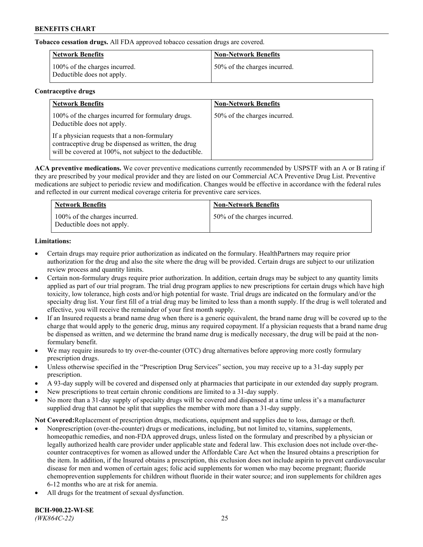**Tobacco cessation drugs.** All FDA approved tobacco cessation drugs are covered.

| Network Benefits                                            | <b>Non-Network Benefits</b>  |
|-------------------------------------------------------------|------------------------------|
| 100% of the charges incurred.<br>Deductible does not apply. | 50% of the charges incurred. |

# **Contraceptive drugs**

| <b>Network Benefits</b>                                                                                                                                         | <b>Non-Network Benefits</b>  |
|-----------------------------------------------------------------------------------------------------------------------------------------------------------------|------------------------------|
| 100% of the charges incurred for formulary drugs.<br>Deductible does not apply.                                                                                 | 50% of the charges incurred. |
| If a physician requests that a non-formulary<br>contraceptive drug be dispensed as written, the drug<br>will be covered at 100%, not subject to the deductible. |                              |

**ACA preventive medications.** We cover preventive medications currently recommended by USPSTF with an A or B rating if they are prescribed by your medical provider and they are listed on our Commercial ACA Preventive Drug List. Preventive medications are subject to periodic review and modification. Changes would be effective in accordance with the federal rules and reflected in our current medical coverage criteria for preventive care services.

| <b>Network Benefits</b>                                     | <b>Non-Network Benefits</b>  |
|-------------------------------------------------------------|------------------------------|
| 100% of the charges incurred.<br>Deductible does not apply. | 50% of the charges incurred. |

# **Limitations:**

- Certain drugs may require prior authorization as indicated on the formulary. HealthPartners may require prior authorization for the drug and also the site where the drug will be provided. Certain drugs are subject to our utilization review process and quantity limits.
- Certain non-formulary drugs require prior authorization. In addition, certain drugs may be subject to any quantity limits applied as part of our trial program. The trial drug program applies to new prescriptions for certain drugs which have high toxicity, low tolerance, high costs and/or high potential for waste. Trial drugs are indicated on the formulary and/or the specialty drug list. Your first fill of a trial drug may be limited to less than a month supply. If the drug is well tolerated and effective, you will receive the remainder of your first month supply.
- If an Insured requests a brand name drug when there is a generic equivalent, the brand name drug will be covered up to the charge that would apply to the generic drug, minus any required copayment. If a physician requests that a brand name drug be dispensed as written, and we determine the brand name drug is medically necessary, the drug will be paid at the nonformulary benefit.
- We may require insureds to try over-the-counter (OTC) drug alternatives before approving more costly formulary prescription drugs.
- Unless otherwise specified in the "Prescription Drug Services" section, you may receive up to a 31-day supply per prescription.
- A 93-day supply will be covered and dispensed only at pharmacies that participate in our extended day supply program.
- New prescriptions to treat certain chronic conditions are limited to a 31-day supply.
- No more than a 31-day supply of specialty drugs will be covered and dispensed at a time unless it's a manufacturer supplied drug that cannot be split that supplies the member with more than a 31-day supply.

**Not Covered:**Replacement of prescription drugs, medications, equipment and supplies due to loss, damage or theft.

- Nonprescription (over-the-counter) drugs or medications, including, but not limited to, vitamins, supplements, homeopathic remedies, and non-FDA approved drugs, unless listed on the formulary and prescribed by a physician or legally authorized health care provider under applicable state and federal law. This exclusion does not include over-thecounter contraceptives for women as allowed under the Affordable Care Act when the Insured obtains a prescription for the item. In addition, if the Insured obtains a prescription, this exclusion does not include aspirin to prevent cardiovascular disease for men and women of certain ages; folic acid supplements for women who may become pregnant; fluoride chemoprevention supplements for children without fluoride in their water source; and iron supplements for children ages 6-12 months who are at risk for anemia.
- All drugs for the treatment of sexual dysfunction.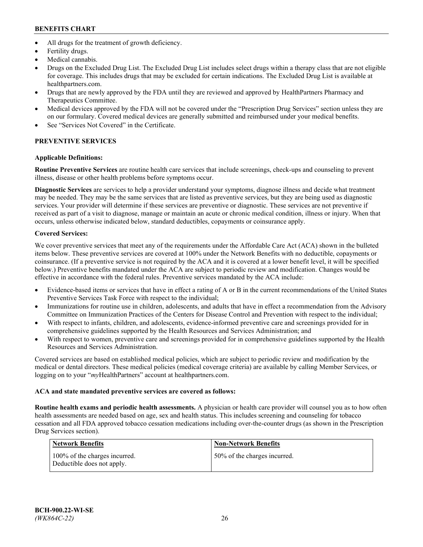- All drugs for the treatment of growth deficiency.
- Fertility drugs.
- Medical cannabis.
- Drugs on the Excluded Drug List. The Excluded Drug List includes select drugs within a therapy class that are not eligible for coverage. This includes drugs that may be excluded for certain indications. The Excluded Drug List is available at [healthpartners.com.](http://www.healthpartners.com/)
- Drugs that are newly approved by the FDA until they are reviewed and approved by HealthPartners Pharmacy and Therapeutics Committee.
- Medical devices approved by the FDA will not be covered under the "Prescription Drug Services" section unless they are on our formulary. Covered medical devices are generally submitted and reimbursed under your medical benefits.
- See "Services Not Covered" in the Certificate.

# **PREVENTIVE SERVICES**

# **Applicable Definitions:**

**Routine Preventive Services** are routine health care services that include screenings, check-ups and counseling to prevent illness, disease or other health problems before symptoms occur.

**Diagnostic Services** are services to help a provider understand your symptoms, diagnose illness and decide what treatment may be needed. They may be the same services that are listed as preventive services, but they are being used as diagnostic services. Your provider will determine if these services are preventive or diagnostic. These services are not preventive if received as part of a visit to diagnose, manage or maintain an acute or chronic medical condition, illness or injury. When that occurs, unless otherwise indicated below, standard deductibles, copayments or coinsurance apply.

# **Covered Services:**

We cover preventive services that meet any of the requirements under the Affordable Care Act (ACA) shown in the bulleted items below. These preventive services are covered at 100% under the Network Benefits with no deductible, copayments or coinsurance. (If a preventive service is not required by the ACA and it is covered at a lower benefit level, it will be specified below.) Preventive benefits mandated under the ACA are subject to periodic review and modification. Changes would be effective in accordance with the federal rules. Preventive services mandated by the ACA include:

- Evidence-based items or services that have in effect a rating of A or B in the current recommendations of the United States Preventive Services Task Force with respect to the individual;
- Immunizations for routine use in children, adolescents, and adults that have in effect a recommendation from the Advisory Committee on Immunization Practices of the Centers for Disease Control and Prevention with respect to the individual;
- With respect to infants, children, and adolescents, evidence-informed preventive care and screenings provided for in comprehensive guidelines supported by the Health Resources and Services Administration; and
- With respect to women, preventive care and screenings provided for in comprehensive guidelines supported by the Health Resources and Services Administration.

Covered services are based on established medical policies, which are subject to periodic review and modification by the medical or dental directors. These medical policies (medical coverage criteria) are available by calling Member Services, or logging on to your "*my*HealthPartners" account at [healthpartners.com.](https://www.healthpartners.com/hp/index.html)

# **ACA and state mandated preventive services are covered as follows:**

**Routine health exams and periodic health assessments.** A physician or health care provider will counsel you as to how often health assessments are needed based on age, sex and health status. This includes screening and counseling for tobacco cessation and all FDA approved tobacco cessation medications including over-the-counter drugs (as shown in the Prescription Drug Services section).

| Network Benefits                                            | <b>Non-Network Benefits</b>  |
|-------------------------------------------------------------|------------------------------|
| 100% of the charges incurred.<br>Deductible does not apply. | 50% of the charges incurred. |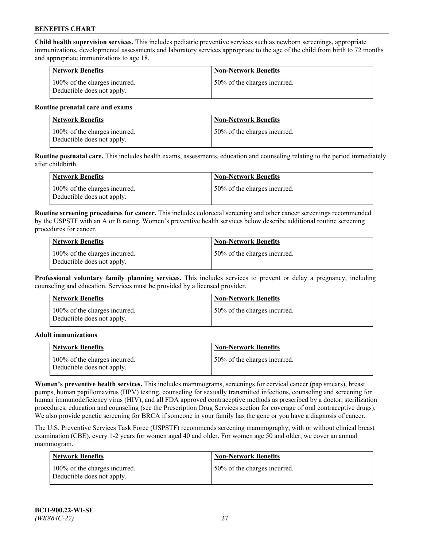**Child health supervision services.** This includes pediatric preventive services such as newborn screenings, appropriate immunizations, developmental assessments and laboratory services appropriate to the age of the child from birth to 72 months and appropriate immunizations to age 18.

| Network Benefits                                            | <b>Non-Network Benefits</b>  |
|-------------------------------------------------------------|------------------------------|
| 100% of the charges incurred.<br>Deductible does not apply. | 50% of the charges incurred. |

#### **Routine prenatal care and exams**

| Network Benefits                                            | <b>Non-Network Benefits</b>  |
|-------------------------------------------------------------|------------------------------|
| 100% of the charges incurred.<br>Deductible does not apply. | 50% of the charges incurred. |

**Routine postnatal care.** This includes health exams, assessments, education and counseling relating to the period immediately after childbirth.

| Network Benefits                                            | <b>Non-Network Benefits</b>  |
|-------------------------------------------------------------|------------------------------|
| 100% of the charges incurred.<br>Deductible does not apply. | 50% of the charges incurred. |

**Routine screening procedures for cancer.** This includes colorectal screening and other cancer screenings recommended by the USPSTF with an A or B rating. Women's preventive health services below describe additional routine screening procedures for cancer.

| <b>Network Benefits</b>                                     | <b>Non-Network Benefits</b>  |
|-------------------------------------------------------------|------------------------------|
| 100% of the charges incurred.<br>Deductible does not apply. | 50% of the charges incurred. |

**Professional voluntary family planning services.** This includes services to prevent or delay a pregnancy, including counseling and education. Services must be provided by a licensed provider.

| <b>Network Benefits</b>                                     | <b>Non-Network Benefits</b>  |
|-------------------------------------------------------------|------------------------------|
| 100% of the charges incurred.<br>Deductible does not apply. | 50% of the charges incurred. |

#### **Adult immunizations**

| <b>Network Benefits</b>                                     | <b>Non-Network Benefits</b>  |
|-------------------------------------------------------------|------------------------------|
| 100% of the charges incurred.<br>Deductible does not apply. | 50% of the charges incurred. |

**Women's preventive health services.** This includes mammograms, screenings for cervical cancer (pap smears), breast pumps, human papillomavirus (HPV) testing, counseling for sexually transmitted infections, counseling and screening for human immunodeficiency virus (HIV), and all FDA approved contraceptive methods as prescribed by a doctor, sterilization procedures, education and counseling (see the Prescription Drug Services section for coverage of oral contraceptive drugs). We also provide genetic screening for BRCA if someone in your family has the gene or you have a diagnosis of cancer.

The U.S. Preventive Services Task Force (USPSTF) recommends screening mammography, with or without clinical breast examination (CBE), every 1-2 years for women aged 40 and older. For women age 50 and older, we cover an annual mammogram.

| <b>Network Benefits</b>                                     | <b>Non-Network Benefits</b>  |
|-------------------------------------------------------------|------------------------------|
| 100% of the charges incurred.<br>Deductible does not apply. | 50% of the charges incurred. |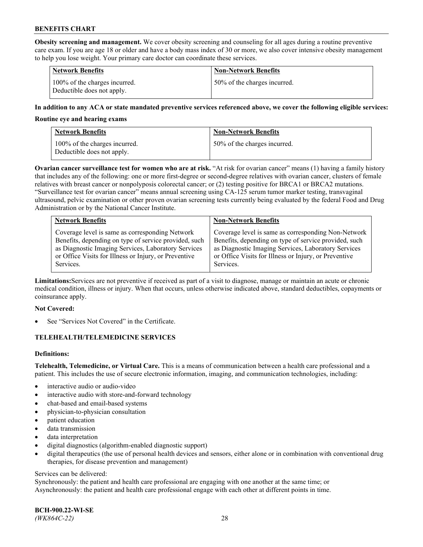**Obesity screening and management.** We cover obesity screening and counseling for all ages during a routine preventive care exam. If you are age 18 or older and have a body mass index of 30 or more, we also cover intensive obesity management to help you lose weight. Your primary care doctor can coordinate these services.

| <b>Network Benefits</b>                                     | <b>Non-Network Benefits</b>  |
|-------------------------------------------------------------|------------------------------|
| 100% of the charges incurred.<br>Deductible does not apply. | 50% of the charges incurred. |

### **In addition to any ACA or state mandated preventive services referenced above, we cover the following eligible services:**

#### **Routine eye and hearing exams**

| Network Benefits                                            | <b>Non-Network Benefits</b>  |
|-------------------------------------------------------------|------------------------------|
| 100% of the charges incurred.<br>Deductible does not apply. | 50% of the charges incurred. |

**Ovarian cancer surveillance test for women who are at risk.** "At risk for ovarian cancer" means (1) having a family history that includes any of the following: one or more first-degree or second-degree relatives with ovarian cancer, clusters of female relatives with breast cancer or nonpolyposis colorectal cancer; or (2) testing positive for BRCA1 or BRCA2 mutations. "Surveillance test for ovarian cancer" means annual screening using CA-125 serum tumor marker testing, transvaginal ultrasound, pelvic examination or other proven ovarian screening tests currently being evaluated by the federal Food and Drug Administration or by the National Cancer Institute.

| <b>Network Benefits</b>                               | <b>Non-Network Benefits</b>                           |
|-------------------------------------------------------|-------------------------------------------------------|
| Coverage level is same as corresponding Network       | Coverage level is same as corresponding Non-Network   |
| Benefits, depending on type of service provided, such | Benefits, depending on type of service provided, such |
| as Diagnostic Imaging Services, Laboratory Services   | as Diagnostic Imaging Services, Laboratory Services   |
| or Office Visits for Illness or Injury, or Preventive | or Office Visits for Illness or Injury, or Preventive |
| Services.                                             | Services.                                             |

**Limitations:**Services are not preventive if received as part of a visit to diagnose, manage or maintain an acute or chronic medical condition, illness or injury. When that occurs, unless otherwise indicated above, standard deductibles, copayments or coinsurance apply.

#### **Not Covered:**

See "Services Not Covered" in the Certificate.

## **TELEHEALTH/TELEMEDICINE SERVICES**

## **Definitions:**

**Telehealth, Telemedicine, or Virtual Care.** This is a means of communication between a health care professional and a patient. This includes the use of secure electronic information, imaging, and communication technologies, including:

- interactive audio or audio-video
- interactive audio with store-and-forward technology
- chat-based and email-based systems
- physician-to-physician consultation
- patient education
- data transmission
- data interpretation
- digital diagnostics (algorithm-enabled diagnostic support)
- digital therapeutics (the use of personal health devices and sensors, either alone or in combination with conventional drug therapies, for disease prevention and management)

#### Services can be delivered:

Synchronously: the patient and health care professional are engaging with one another at the same time; or Asynchronously: the patient and health care professional engage with each other at different points in time.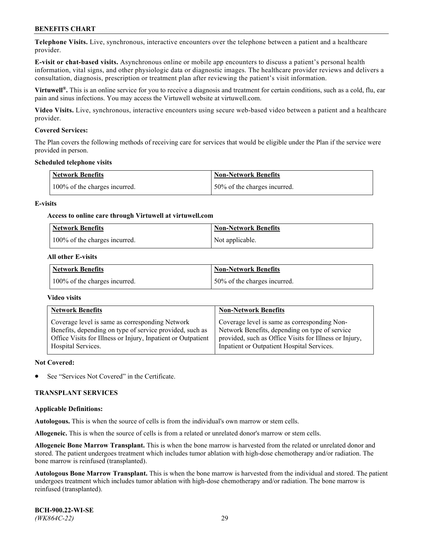**Telephone Visits.** Live, synchronous, interactive encounters over the telephone between a patient and a healthcare provider.

**E-visit or chat-based visits.** Asynchronous online or mobile app encounters to discuss a patient's personal health information, vital signs, and other physiologic data or diagnostic images. The healthcare provider reviews and delivers a consultation, diagnosis, prescription or treatment plan after reviewing the patient's visit information.

**Virtuwell®.** This is an online service for you to receive a diagnosis and treatment for certain conditions, such as a cold, flu, ear pain and sinus infections. You may access the Virtuwell website at [virtuwell.com.](https://www.virtuwell.com/)

**Video Visits.** Live, synchronous, interactive encounters using secure web-based video between a patient and a healthcare provider.

#### **Covered Services:**

The Plan covers the following methods of receiving care for services that would be eligible under the Plan if the service were provided in person.

#### **Scheduled telephone visits**

| <b>Network Benefits</b>       | <b>Non-Network Benefits</b>  |
|-------------------------------|------------------------------|
| 100% of the charges incurred. | 50% of the charges incurred. |

#### **E-visits**

#### **Access to online care through Virtuwell at [virtuwell.com](https://www.virtuwell.com/)**

| Network Benefits              | <b>Non-Network Benefits</b> |
|-------------------------------|-----------------------------|
| 100% of the charges incurred. | Not applicable.             |

#### **All other E-visits**

| <b>Network Benefits</b>       | <b>Non-Network Benefits</b>  |
|-------------------------------|------------------------------|
| 100% of the charges incurred. | 50% of the charges incurred. |

#### **Video visits**

| <b>Network Benefits</b>                                      | <b>Non-Network Benefits</b>                            |
|--------------------------------------------------------------|--------------------------------------------------------|
| Coverage level is same as corresponding Network              | Coverage level is same as corresponding Non-           |
| Benefits, depending on type of service provided, such as     | Network Benefits, depending on type of service         |
| Office Visits for Illness or Injury, Inpatient or Outpatient | provided, such as Office Visits for Illness or Injury, |
| Hospital Services.                                           | Inpatient or Outpatient Hospital Services.             |

#### **Not Covered:**

See "Services Not Covered" in the Certificate.

## **TRANSPLANT SERVICES**

#### **Applicable Definitions:**

**Autologous.** This is when the source of cells is from the individual's own marrow or stem cells.

**Allogeneic.** This is when the source of cells is from a related or unrelated donor's marrow or stem cells.

**Allogeneic Bone Marrow Transplant.** This is when the bone marrow is harvested from the related or unrelated donor and stored. The patient undergoes treatment which includes tumor ablation with high-dose chemotherapy and/or radiation. The bone marrow is reinfused (transplanted).

**Autologous Bone Marrow Transplant.** This is when the bone marrow is harvested from the individual and stored. The patient undergoes treatment which includes tumor ablation with high-dose chemotherapy and/or radiation. The bone marrow is reinfused (transplanted).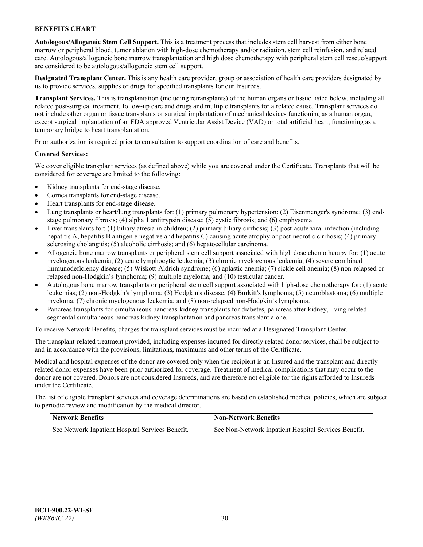**Autologous/Allogeneic Stem Cell Support.** This is a treatment process that includes stem cell harvest from either bone marrow or peripheral blood, tumor ablation with high-dose chemotherapy and/or radiation, stem cell reinfusion, and related care. Autologous/allogeneic bone marrow transplantation and high dose chemotherapy with peripheral stem cell rescue/support are considered to be autologous/allogeneic stem cell support.

**Designated Transplant Center.** This is any health care provider, group or association of health care providers designated by us to provide services, supplies or drugs for specified transplants for our Insureds.

**Transplant Services.** This is transplantation (including retransplants) of the human organs or tissue listed below, including all related post-surgical treatment, follow-up care and drugs and multiple transplants for a related cause. Transplant services do not include other organ or tissue transplants or surgical implantation of mechanical devices functioning as a human organ, except surgical implantation of an FDA approved Ventricular Assist Device (VAD) or total artificial heart, functioning as a temporary bridge to heart transplantation.

Prior authorization is required prior to consultation to support coordination of care and benefits.

#### **Covered Services:**

We cover eligible transplant services (as defined above) while you are covered under the Certificate. Transplants that will be considered for coverage are limited to the following:

- Kidney transplants for end-stage disease.
- Cornea transplants for end-stage disease.
- Heart transplants for end-stage disease.
- Lung transplants or heart/lung transplants for: (1) primary pulmonary hypertension; (2) Eisenmenger's syndrome; (3) endstage pulmonary fibrosis; (4) alpha 1 antitrypsin disease; (5) cystic fibrosis; and (6) emphysema.
- Liver transplants for: (1) biliary atresia in children; (2) primary biliary cirrhosis; (3) post-acute viral infection (including hepatitis A, hepatitis B antigen e negative and hepatitis C) causing acute atrophy or post-necrotic cirrhosis; (4) primary sclerosing cholangitis; (5) alcoholic cirrhosis; and (6) hepatocellular carcinoma.
- Allogeneic bone marrow transplants or peripheral stem cell support associated with high dose chemotherapy for: (1) acute myelogenous leukemia; (2) acute lymphocytic leukemia; (3) chronic myelogenous leukemia; (4) severe combined immunodeficiency disease; (5) Wiskott-Aldrich syndrome; (6) aplastic anemia; (7) sickle cell anemia; (8) non-relapsed or relapsed non-Hodgkin's lymphoma; (9) multiple myeloma; and (10) testicular cancer.
- Autologous bone marrow transplants or peripheral stem cell support associated with high-dose chemotherapy for: (1) acute leukemias; (2) non-Hodgkin's lymphoma; (3) Hodgkin's disease; (4) Burkitt's lymphoma; (5) neuroblastoma; (6) multiple myeloma; (7) chronic myelogenous leukemia; and (8) non-relapsed non-Hodgkin's lymphoma.
- Pancreas transplants for simultaneous pancreas-kidney transplants for diabetes, pancreas after kidney, living related segmental simultaneous pancreas kidney transplantation and pancreas transplant alone.

To receive Network Benefits, charges for transplant services must be incurred at a Designated Transplant Center.

The transplant-related treatment provided, including expenses incurred for directly related donor services, shall be subject to and in accordance with the provisions, limitations, maximums and other terms of the Certificate.

Medical and hospital expenses of the donor are covered only when the recipient is an Insured and the transplant and directly related donor expenses have been prior authorized for coverage. Treatment of medical complications that may occur to the donor are not covered. Donors are not considered Insureds, and are therefore not eligible for the rights afforded to Insureds under the Certificate.

The list of eligible transplant services and coverage determinations are based on established medical policies, which are subject to periodic review and modification by the medical director.

| <b>Network Benefits</b>                          | <b>Non-Network Benefits</b>                          |
|--------------------------------------------------|------------------------------------------------------|
| See Network Inpatient Hospital Services Benefit. | See Non-Network Inpatient Hospital Services Benefit. |